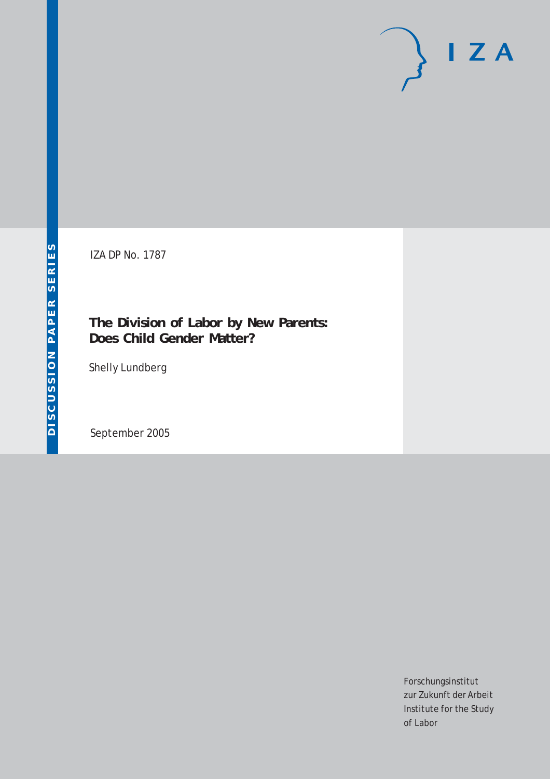# $I Z A$

IZA DP No. 1787

### **The Division of Labor by New Parents: Does Child Gender Matter?**

Shelly Lundberg

September 2005

Forschungsinstitut zur Zukunft der Arbeit Institute for the Study of Labor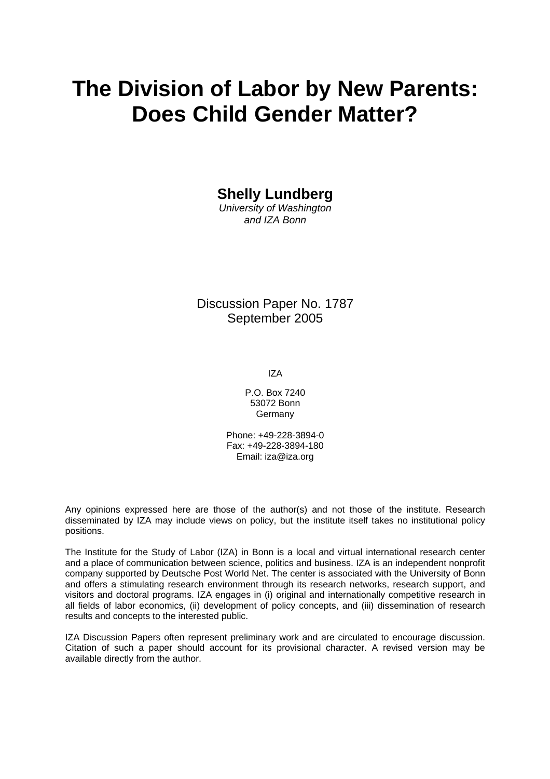# **The Division of Labor by New Parents: Does Child Gender Matter?**

**Shelly Lundberg** 

*University of Washington and IZA Bonn* 

Discussion Paper No. 1787 September 2005

IZA

P.O. Box 7240 53072 Bonn Germany

Phone: +49-228-3894-0 Fax: +49-228-3894-180 Email: [iza@iza.org](mailto:iza@iza.org)

Any opinions expressed here are those of the author(s) and not those of the institute. Research disseminated by IZA may include views on policy, but the institute itself takes no institutional policy positions.

The Institute for the Study of Labor (IZA) in Bonn is a local and virtual international research center and a place of communication between science, politics and business. IZA is an independent nonprofit company supported by Deutsche Post World Net. The center is associated with the University of Bonn and offers a stimulating research environment through its research networks, research support, and visitors and doctoral programs. IZA engages in (i) original and internationally competitive research in all fields of labor economics, (ii) development of policy concepts, and (iii) dissemination of research results and concepts to the interested public.

IZA Discussion Papers often represent preliminary work and are circulated to encourage discussion. Citation of such a paper should account for its provisional character. A revised version may be available directly from the author.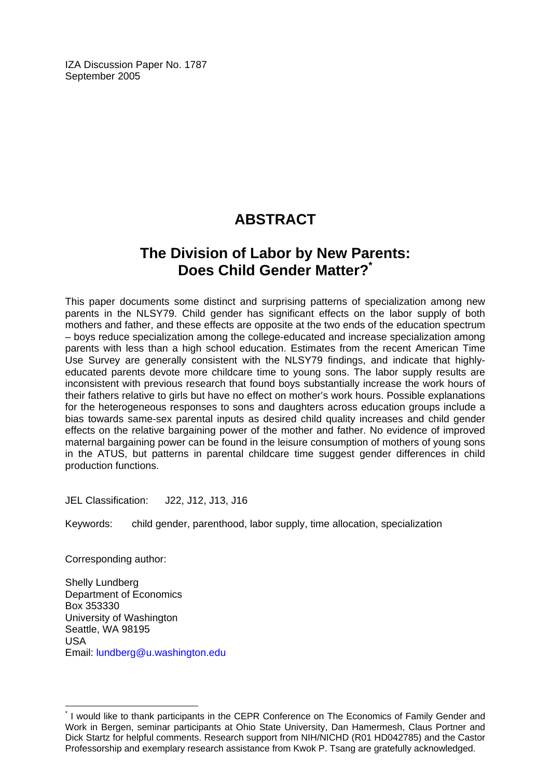IZA Discussion Paper No. 1787 September 2005

# **ABSTRACT**

## **The Division of Labor by New Parents: Does Child Gender Matter?[\\*](#page-2-0)**

This paper documents some distinct and surprising patterns of specialization among new parents in the NLSY79. Child gender has significant effects on the labor supply of both mothers and father, and these effects are opposite at the two ends of the education spectrum – boys reduce specialization among the college-educated and increase specialization among parents with less than a high school education. Estimates from the recent American Time Use Survey are generally consistent with the NLSY79 findings, and indicate that highlyeducated parents devote more childcare time to young sons. The labor supply results are inconsistent with previous research that found boys substantially increase the work hours of their fathers relative to girls but have no effect on mother's work hours. Possible explanations for the heterogeneous responses to sons and daughters across education groups include a bias towards same-sex parental inputs as desired child quality increases and child gender effects on the relative bargaining power of the mother and father. No evidence of improved maternal bargaining power can be found in the leisure consumption of mothers of young sons in the ATUS, but patterns in parental childcare time suggest gender differences in child production functions.

JEL Classification: J22, J12, J13, J16

Keywords: child gender, parenthood, labor supply, time allocation, specialization

Corresponding author:

 $\overline{a}$ 

Shelly Lundberg Department of Economics Box 353330 University of Washington Seattle, WA 98195 USA Email: [lundberg@u.washington.edu](mailto:lundberg@u.washington.edu)

<span id="page-2-0"></span><sup>\*</sup> I would like to thank participants in the CEPR Conference on The Economics of Family Gender and Work in Bergen, seminar participants at Ohio State University, Dan Hamermesh, Claus Portner and Dick Startz for helpful comments. Research support from NIH/NICHD (R01 HD042785) and the Castor Professorship and exemplary research assistance from Kwok P. Tsang are gratefully acknowledged.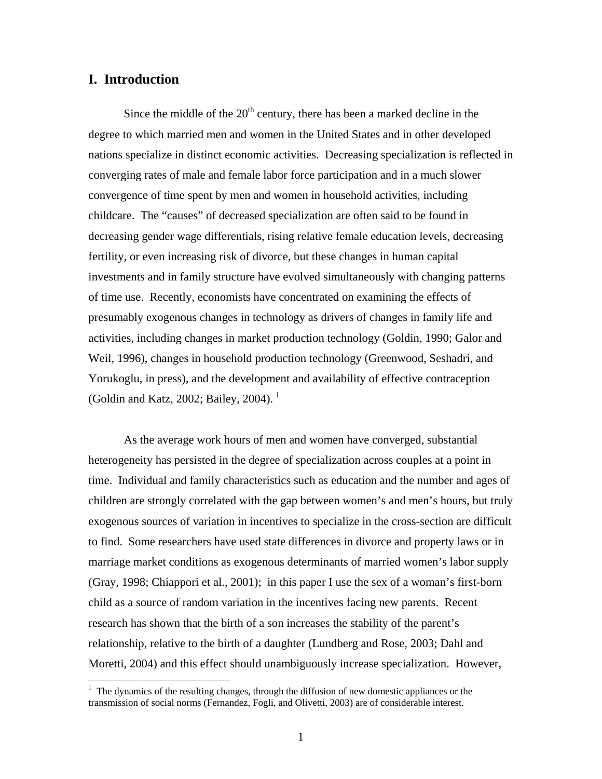#### **I. Introduction**

 $\overline{a}$ 

Since the middle of the  $20<sup>th</sup>$  century, there has been a marked decline in the degree to which married men and women in the United States and in other developed nations specialize in distinct economic activities. Decreasing specialization is reflected in converging rates of male and female labor force participation and in a much slower convergence of time spent by men and women in household activities, including childcare. The "causes" of decreased specialization are often said to be found in decreasing gender wage differentials, rising relative female education levels, decreasing fertility, or even increasing risk of divorce, but these changes in human capital investments and in family structure have evolved simultaneously with changing patterns of time use. Recently, economists have concentrated on examining the effects of presumably exogenous changes in technology as drivers of changes in family life and activities, including changes in market production technology (Goldin, 1990; Galor and Weil, 1996), changes in household production technology (Greenwood, Seshadri, and Yorukoglu, in press), and the development and availability of effective contraception (Goldin and Katz, 2002; Bailey, 2004).<sup>[1](#page-3-0)</sup>

As the average work hours of men and women have converged, substantial heterogeneity has persisted in the degree of specialization across couples at a point in time. Individual and family characteristics such as education and the number and ages of children are strongly correlated with the gap between women's and men's hours, but truly exogenous sources of variation in incentives to specialize in the cross-section are difficult to find. Some researchers have used state differences in divorce and property laws or in marriage market conditions as exogenous determinants of married women's labor supply (Gray, 1998; Chiappori et al., 2001); in this paper I use the sex of a woman's first-born child as a source of random variation in the incentives facing new parents. Recent research has shown that the birth of a son increases the stability of the parent's relationship, relative to the birth of a daughter (Lundberg and Rose, 2003; Dahl and Moretti, 2004) and this effect should unambiguously increase specialization. However,

<span id="page-3-0"></span><sup>&</sup>lt;sup>1</sup> The dynamics of the resulting changes, through the diffusion of new domestic appliances or the transmission of social norms (Fernandez, Fogli, and Olivetti, 2003) are of considerable interest.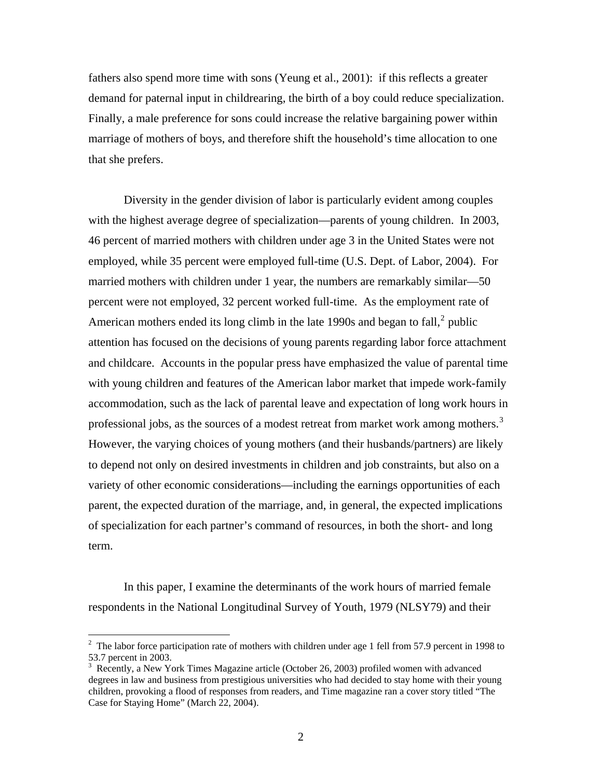fathers also spend more time with sons (Yeung et al., 2001): if this reflects a greater demand for paternal input in childrearing, the birth of a boy could reduce specialization. Finally, a male preference for sons could increase the relative bargaining power within marriage of mothers of boys, and therefore shift the household's time allocation to one that she prefers.

Diversity in the gender division of labor is particularly evident among couples with the highest average degree of specialization—parents of young children. In 2003, 46 percent of married mothers with children under age 3 in the United States were not employed, while 35 percent were employed full-time (U.S. Dept. of Labor, 2004). For married mothers with children under 1 year, the numbers are remarkably similar—50 percent were not employed, 32 percent worked full-time. As the employment rate of American mothers ended its long climb in the late 1990s and began to fall, $2$  public attention has focused on the decisions of young parents regarding labor force attachment and childcare. Accounts in the popular press have emphasized the value of parental time with young children and features of the American labor market that impede work-family accommodation, such as the lack of parental leave and expectation of long work hours in professional jobs, as the sources of a modest retreat from market work among mothers.<sup>[3](#page-4-1)</sup> However, the varying choices of young mothers (and their husbands/partners) are likely to depend not only on desired investments in children and job constraints, but also on a variety of other economic considerations—including the earnings opportunities of each parent, the expected duration of the marriage, and, in general, the expected implications of specialization for each partner's command of resources, in both the short- and long term.

In this paper, I examine the determinants of the work hours of married female respondents in the National Longitudinal Survey of Youth, 1979 (NLSY79) and their

<span id="page-4-0"></span><sup>&</sup>lt;sup>2</sup> The labor force participation rate of mothers with children under age 1 fell from 57.9 percent in 1998 to 53.7 percent in 2003.

<span id="page-4-1"></span><sup>&</sup>lt;sup>3</sup> Recently, a New York Times Magazine article (October 26, 2003) profiled women with advanced degrees in law and business from prestigious universities who had decided to stay home with their young children, provoking a flood of responses from readers, and Time magazine ran a cover story titled "The Case for Staying Home" (March 22, 2004).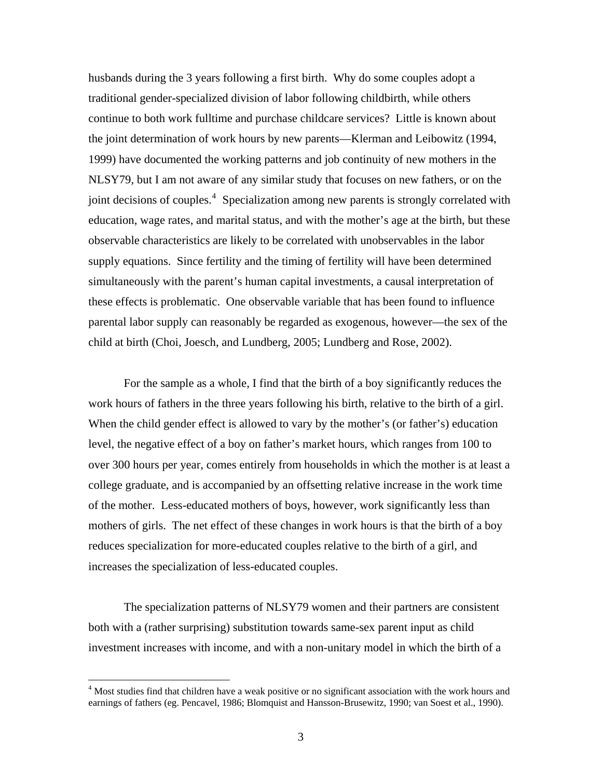husbands during the 3 years following a first birth. Why do some couples adopt a traditional gender-specialized division of labor following childbirth, while others continue to both work fulltime and purchase childcare services? Little is known about the joint determination of work hours by new parents—Klerman and Leibowitz (1994, 1999) have documented the working patterns and job continuity of new mothers in the NLSY79, but I am not aware of any similar study that focuses on new fathers, or on the joint decisions of couples.<sup>[4](#page-5-0)</sup> Specialization among new parents is strongly correlated with education, wage rates, and marital status, and with the mother's age at the birth, but these observable characteristics are likely to be correlated with unobservables in the labor supply equations. Since fertility and the timing of fertility will have been determined simultaneously with the parent's human capital investments, a causal interpretation of these effects is problematic. One observable variable that has been found to influence parental labor supply can reasonably be regarded as exogenous, however—the sex of the child at birth (Choi, Joesch, and Lundberg, 2005; Lundberg and Rose, 2002).

For the sample as a whole, I find that the birth of a boy significantly reduces the work hours of fathers in the three years following his birth, relative to the birth of a girl. When the child gender effect is allowed to vary by the mother's (or father's) education level, the negative effect of a boy on father's market hours, which ranges from 100 to over 300 hours per year, comes entirely from households in which the mother is at least a college graduate, and is accompanied by an offsetting relative increase in the work time of the mother. Less-educated mothers of boys, however, work significantly less than mothers of girls. The net effect of these changes in work hours is that the birth of a boy reduces specialization for more-educated couples relative to the birth of a girl, and increases the specialization of less-educated couples.

The specialization patterns of NLSY79 women and their partners are consistent both with a (rather surprising) substitution towards same-sex parent input as child investment increases with income, and with a non-unitary model in which the birth of a

<span id="page-5-0"></span><sup>&</sup>lt;sup>4</sup> Most studies find that children have a weak positive or no significant association with the work hours and earnings of fathers (eg. Pencavel, 1986; Blomquist and Hansson-Brusewitz, 1990; van Soest et al., 1990).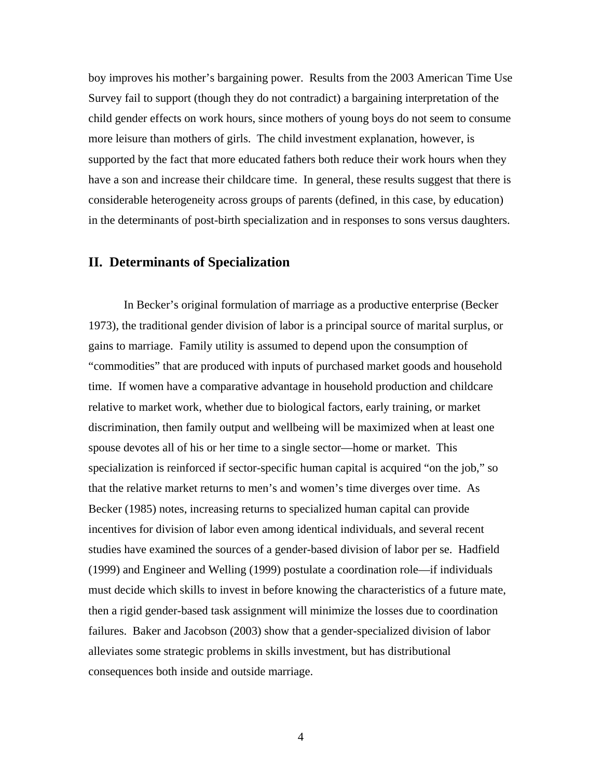boy improves his mother's bargaining power. Results from the 2003 American Time Use Survey fail to support (though they do not contradict) a bargaining interpretation of the child gender effects on work hours, since mothers of young boys do not seem to consume more leisure than mothers of girls. The child investment explanation, however, is supported by the fact that more educated fathers both reduce their work hours when they have a son and increase their childcare time. In general, these results suggest that there is considerable heterogeneity across groups of parents (defined, in this case, by education) in the determinants of post-birth specialization and in responses to sons versus daughters.

#### **II. Determinants of Specialization**

In Becker's original formulation of marriage as a productive enterprise (Becker 1973), the traditional gender division of labor is a principal source of marital surplus, or gains to marriage. Family utility is assumed to depend upon the consumption of "commodities" that are produced with inputs of purchased market goods and household time. If women have a comparative advantage in household production and childcare relative to market work, whether due to biological factors, early training, or market discrimination, then family output and wellbeing will be maximized when at least one spouse devotes all of his or her time to a single sector—home or market. This specialization is reinforced if sector-specific human capital is acquired "on the job," so that the relative market returns to men's and women's time diverges over time. As Becker (1985) notes, increasing returns to specialized human capital can provide incentives for division of labor even among identical individuals, and several recent studies have examined the sources of a gender-based division of labor per se. Hadfield (1999) and Engineer and Welling (1999) postulate a coordination role—if individuals must decide which skills to invest in before knowing the characteristics of a future mate, then a rigid gender-based task assignment will minimize the losses due to coordination failures. Baker and Jacobson (2003) show that a gender-specialized division of labor alleviates some strategic problems in skills investment, but has distributional consequences both inside and outside marriage.

4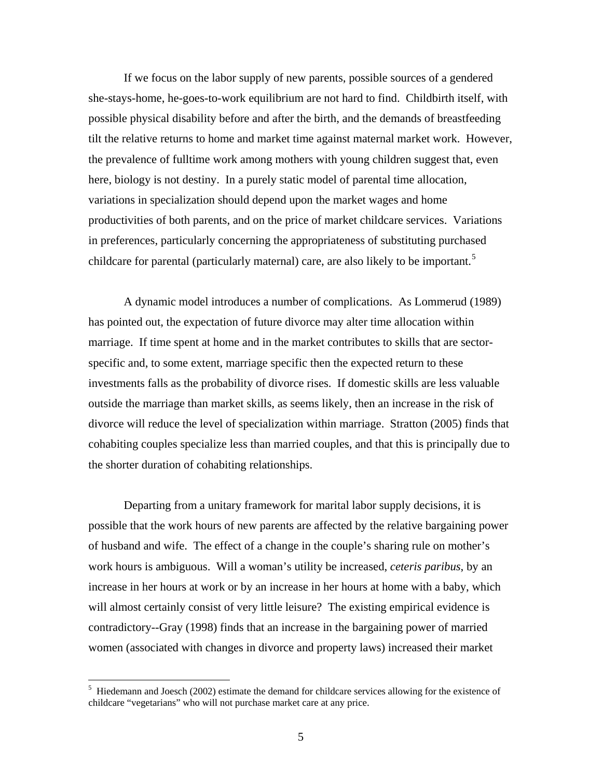If we focus on the labor supply of new parents, possible sources of a gendered she-stays-home, he-goes-to-work equilibrium are not hard to find. Childbirth itself, with possible physical disability before and after the birth, and the demands of breastfeeding tilt the relative returns to home and market time against maternal market work. However, the prevalence of fulltime work among mothers with young children suggest that, even here, biology is not destiny. In a purely static model of parental time allocation, variations in specialization should depend upon the market wages and home productivities of both parents, and on the price of market childcare services. Variations in preferences, particularly concerning the appropriateness of substituting purchased childcare for parental (particularly maternal) care, are also likely to be important.<sup>[5](#page-7-0)</sup>

A dynamic model introduces a number of complications. As Lommerud (1989) has pointed out, the expectation of future divorce may alter time allocation within marriage. If time spent at home and in the market contributes to skills that are sectorspecific and, to some extent, marriage specific then the expected return to these investments falls as the probability of divorce rises. If domestic skills are less valuable outside the marriage than market skills, as seems likely, then an increase in the risk of divorce will reduce the level of specialization within marriage. Stratton (2005) finds that cohabiting couples specialize less than married couples, and that this is principally due to the shorter duration of cohabiting relationships.

Departing from a unitary framework for marital labor supply decisions, it is possible that the work hours of new parents are affected by the relative bargaining power of husband and wife. The effect of a change in the couple's sharing rule on mother's work hours is ambiguous. Will a woman's utility be increased, *ceteris paribus*, by an increase in her hours at work or by an increase in her hours at home with a baby, which will almost certainly consist of very little leisure? The existing empirical evidence is contradictory--Gray (1998) finds that an increase in the bargaining power of married women (associated with changes in divorce and property laws) increased their market

<span id="page-7-0"></span><sup>&</sup>lt;sup>5</sup> Hiedemann and Joesch (2002) estimate the demand for childcare services allowing for the existence of childcare "vegetarians" who will not purchase market care at any price.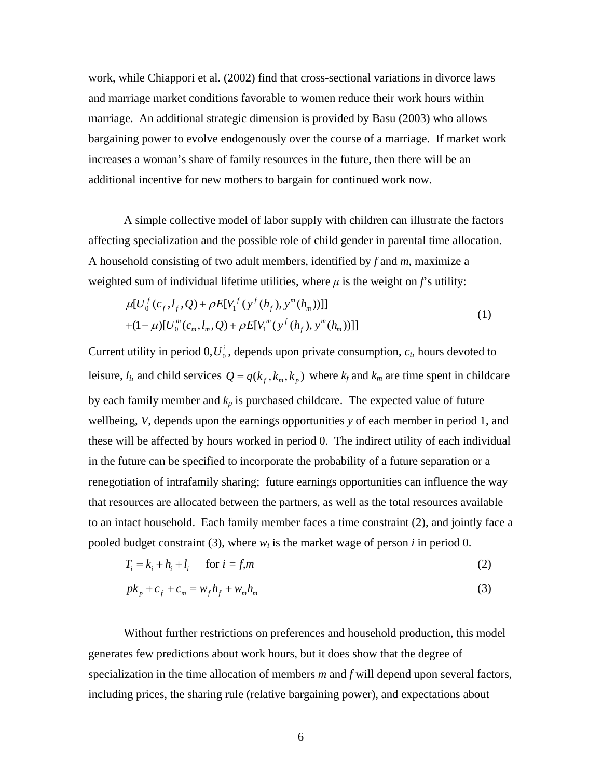work, while Chiappori et al. (2002) find that cross-sectional variations in divorce laws and marriage market conditions favorable to women reduce their work hours within marriage. An additional strategic dimension is provided by Basu (2003) who allows bargaining power to evolve endogenously over the course of a marriage. If market work increases a woman's share of family resources in the future, then there will be an additional incentive for new mothers to bargain for continued work now.

A simple collective model of labor supply with children can illustrate the factors affecting specialization and the possible role of child gender in parental time allocation. A household consisting of two adult members, identified by *f* and *m*, maximize a weighted sum of individual lifetime utilities, where  $\mu$  is the weight on  $f$ 's utility:

$$
\mu[U_0^f(c_f, l_f, Q) + \rho E[V_1^f(y^f(h_f), y^m(h_m))]]
$$
  
+(1- $\mu$ )[ $U_0^m(c_m, l_m, Q) + \rho E[V_1^m(y^f(h_f), y^m(h_m))]]$  (1)

Current utility in period  $0, U_0^i$ , depends upon private consumption,  $c_i$ , hours devoted to leisure,  $l_i$ , and child services  $Q = q(k_f, k_m, k_g)$  where  $k_f$  and  $k_m$  are time spent in childcare by each family member and  $k_p$  is purchased childcare. The expected value of future wellbeing, *V*, depends upon the earnings opportunities *y* of each member in period 1, and these will be affected by hours worked in period 0. The indirect utility of each individual in the future can be specified to incorporate the probability of a future separation or a renegotiation of intrafamily sharing; future earnings opportunities can influence the way that resources are allocated between the partners, as well as the total resources available to an intact household. Each family member faces a time constraint (2), and jointly face a pooled budget constraint (3), where  $w_i$  is the market wage of person *i* in period 0.

$$
T_i = k_i + h_i + l_i \quad \text{for } i = f, m
$$
 (2)

$$
pk_p + c_f + c_m = w_f h_f + w_m h_m
$$
 (3)

Without further restrictions on preferences and household production, this model generates few predictions about work hours, but it does show that the degree of specialization in the time allocation of members *m* and *f* will depend upon several factors, including prices, the sharing rule (relative bargaining power), and expectations about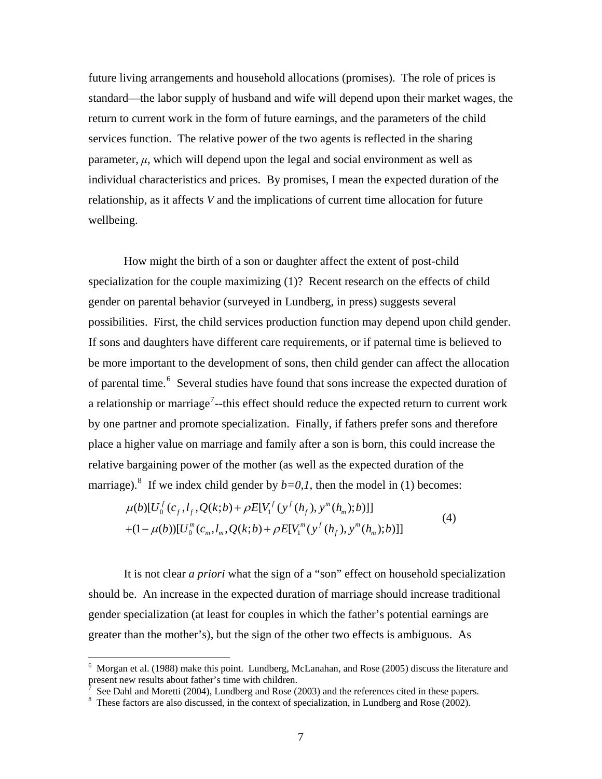future living arrangements and household allocations (promises). The role of prices is standard—the labor supply of husband and wife will depend upon their market wages, the return to current work in the form of future earnings, and the parameters of the child services function. The relative power of the two agents is reflected in the sharing parameter,  $\mu$ , which will depend upon the legal and social environment as well as individual characteristics and prices. By promises, I mean the expected duration of the relationship, as it affects *V* and the implications of current time allocation for future wellbeing.

How might the birth of a son or daughter affect the extent of post-child specialization for the couple maximizing (1)? Recent research on the effects of child gender on parental behavior (surveyed in Lundberg, in press) suggests several possibilities. First, the child services production function may depend upon child gender. If sons and daughters have different care requirements, or if paternal time is believed to be more important to the development of sons, then child gender can affect the allocation of parental time.<sup>[6](#page-9-0)</sup> Several studies have found that sons increase the expected duration of a relationship or marriage<sup>[7](#page-9-1)</sup>--this effect should reduce the expected return to current work by one partner and promote specialization. Finally, if fathers prefer sons and therefore place a higher value on marriage and family after a son is born, this could increase the relative bargaining power of the mother (as well as the expected duration of the marriage).<sup>[8](#page-9-2)</sup> If we index child gender by  $b=0,1$ , then the model in (1) becomes:

$$
\mu(b)[U_0^f(c_f, l_f, Q(k; b) + \rho E[V_1^f(y^f(h_f), y^m(h_m); b)]] + (1 - \mu(b))[U_0^m(c_m, l_m, Q(k; b) + \rho E[V_1^m(y^f(h_f), y^m(h_m); b)]]
$$
\n(4)

 It is not clear *a priori* what the sign of a "son" effect on household specialization should be. An increase in the expected duration of marriage should increase traditional gender specialization (at least for couples in which the father's potential earnings are greater than the mother's), but the sign of the other two effects is ambiguous. As

<span id="page-9-0"></span><sup>&</sup>lt;sup>6</sup> Morgan et al. (1988) make this point. Lundberg, McLanahan, and Rose (2005) discuss the literature and present new results about father's time with children.<br>  $\frac{7}{2}$  See Dabl and Moratti (2004). Lungbarg and Bose (2004)

<span id="page-9-1"></span>See Dahl and Moretti (2004), Lundberg and Rose (2003) and the references cited in these papers.

<span id="page-9-2"></span><sup>&</sup>lt;sup>8</sup> These factors are also discussed, in the context of specialization, in Lundberg and Rose (2002).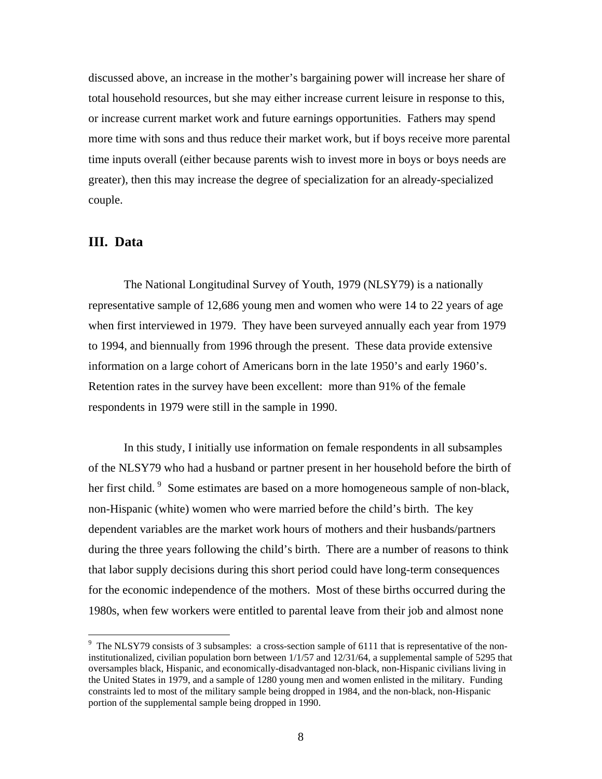discussed above, an increase in the mother's bargaining power will increase her share of total household resources, but she may either increase current leisure in response to this, or increase current market work and future earnings opportunities. Fathers may spend more time with sons and thus reduce their market work, but if boys receive more parental time inputs overall (either because parents wish to invest more in boys or boys needs are greater), then this may increase the degree of specialization for an already-specialized couple.

#### **III. Data**

 $\overline{a}$ 

The National Longitudinal Survey of Youth, 1979 (NLSY79) is a nationally representative sample of 12,686 young men and women who were 14 to 22 years of age when first interviewed in 1979. They have been surveyed annually each year from 1979 to 1994, and biennually from 1996 through the present. These data provide extensive information on a large cohort of Americans born in the late 1950's and early 1960's. Retention rates in the survey have been excellent: more than 91% of the female respondents in 1979 were still in the sample in 1990.

In this study, I initially use information on female respondents in all subsamples of the NLSY79 who had a husband or partner present in her household before the birth of her first child. <sup>[9](#page-10-0)</sup> Some estimates are based on a more homogeneous sample of non-black, non-Hispanic (white) women who were married before the child's birth. The key dependent variables are the market work hours of mothers and their husbands/partners during the three years following the child's birth. There are a number of reasons to think that labor supply decisions during this short period could have long-term consequences for the economic independence of the mothers. Most of these births occurred during the 1980s, when few workers were entitled to parental leave from their job and almost none

<span id="page-10-0"></span><sup>&</sup>lt;sup>9</sup> The NLSY79 consists of 3 subsamples: a cross-section sample of 6111 that is representative of the noninstitutionalized, civilian population born between 1/1/57 and 12/31/64, a supplemental sample of 5295 that oversamples black, Hispanic, and economically-disadvantaged non-black, non-Hispanic civilians living in the United States in 1979, and a sample of 1280 young men and women enlisted in the military. Funding constraints led to most of the military sample being dropped in 1984, and the non-black, non-Hispanic portion of the supplemental sample being dropped in 1990.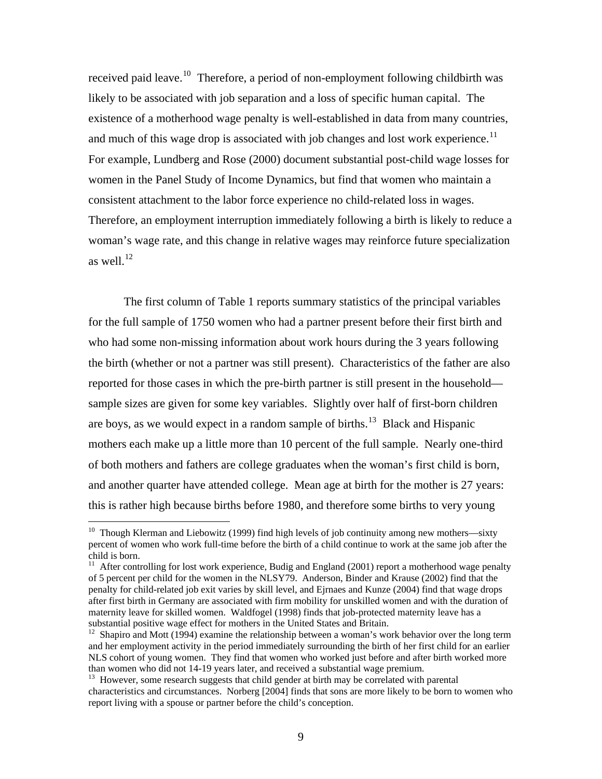received paid leave.<sup>[10](#page-11-0)</sup> Therefore, a period of non-employment following childbirth was likely to be associated with job separation and a loss of specific human capital. The existence of a motherhood wage penalty is well-established in data from many countries, and much of this wage drop is associated with job changes and lost work experience.<sup>[11](#page-11-1)</sup> For example, Lundberg and Rose (2000) document substantial post-child wage losses for women in the Panel Study of Income Dynamics, but find that women who maintain a consistent attachment to the labor force experience no child-related loss in wages. Therefore, an employment interruption immediately following a birth is likely to reduce a woman's wage rate, and this change in relative wages may reinforce future specialization as well. $^{12}$  $^{12}$  $^{12}$ 

The first column of Table 1 reports summary statistics of the principal variables for the full sample of 1750 women who had a partner present before their first birth and who had some non-missing information about work hours during the 3 years following the birth (whether or not a partner was still present). Characteristics of the father are also reported for those cases in which the pre-birth partner is still present in the household sample sizes are given for some key variables. Slightly over half of first-born children are boys, as we would expect in a random sample of births.<sup>[13](#page-11-3)</sup> Black and Hispanic mothers each make up a little more than 10 percent of the full sample. Nearly one-third of both mothers and fathers are college graduates when the woman's first child is born, and another quarter have attended college. Mean age at birth for the mother is 27 years: this is rather high because births before 1980, and therefore some births to very young

<span id="page-11-0"></span><sup>&</sup>lt;sup>10</sup> Though Klerman and Liebowitz (1999) find high levels of job continuity among new mothers—sixty percent of women who work full-time before the birth of a child continue to work at the same job after the child is born.

<span id="page-11-1"></span> $11$  After controlling for lost work experience, Budig and England (2001) report a motherhood wage penalty of 5 percent per child for the women in the NLSY79. Anderson, Binder and Krause (2002) find that the penalty for child-related job exit varies by skill level, and Ejrnaes and Kunze (2004) find that wage drops after first birth in Germany are associated with firm mobility for unskilled women and with the duration of maternity leave for skilled women. Waldfogel (1998) finds that job-protected maternity leave has a substantial positive wage effect for mothers in the United States and Britain.

<span id="page-11-2"></span><sup>12</sup> Shapiro and Mott (1994) examine the relationship between a woman's work behavior over the long term and her employment activity in the period immediately surrounding the birth of her first child for an earlier NLS cohort of young women. They find that women who worked just before and after birth worked more than women who did not  $14-19$  years later, and received a substantial wage premium.<br><sup>13</sup> However, some research suggests that child gender at birth may be correlated with parental

<span id="page-11-3"></span>characteristics and circumstances. Norberg [2004] finds that sons are more likely to be born to women who report living with a spouse or partner before the child's conception.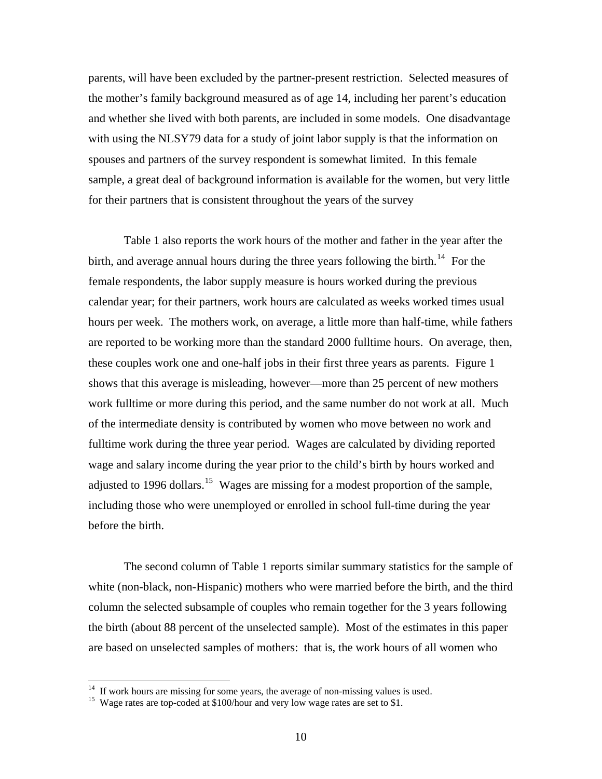parents, will have been excluded by the partner-present restriction. Selected measures of the mother's family background measured as of age 14, including her parent's education and whether she lived with both parents, are included in some models. One disadvantage with using the NLSY79 data for a study of joint labor supply is that the information on spouses and partners of the survey respondent is somewhat limited. In this female sample, a great deal of background information is available for the women, but very little for their partners that is consistent throughout the years of the survey

Table 1 also reports the work hours of the mother and father in the year after the birth, and average annual hours during the three years following the birth.<sup>[14](#page-12-0)</sup> For the female respondents, the labor supply measure is hours worked during the previous calendar year; for their partners, work hours are calculated as weeks worked times usual hours per week. The mothers work, on average, a little more than half-time, while fathers are reported to be working more than the standard 2000 fulltime hours. On average, then, these couples work one and one-half jobs in their first three years as parents. Figure 1 shows that this average is misleading, however—more than 25 percent of new mothers work fulltime or more during this period, and the same number do not work at all. Much of the intermediate density is contributed by women who move between no work and fulltime work during the three year period. Wages are calculated by dividing reported wage and salary income during the year prior to the child's birth by hours worked and adjusted to 1996 dollars.<sup>[15](#page-12-1)</sup> Wages are missing for a modest proportion of the sample, including those who were unemployed or enrolled in school full-time during the year before the birth.

The second column of Table 1 reports similar summary statistics for the sample of white (non-black, non-Hispanic) mothers who were married before the birth, and the third column the selected subsample of couples who remain together for the 3 years following the birth (about 88 percent of the unselected sample). Most of the estimates in this paper are based on unselected samples of mothers: that is, the work hours of all women who

<span id="page-12-1"></span><span id="page-12-0"></span><sup>&</sup>lt;sup>14</sup> If work hours are missing for some years, the average of non-missing values is used.<br><sup>15</sup> Wage rates are top-coded at \$100/hour and very low wage rates are set to \$1.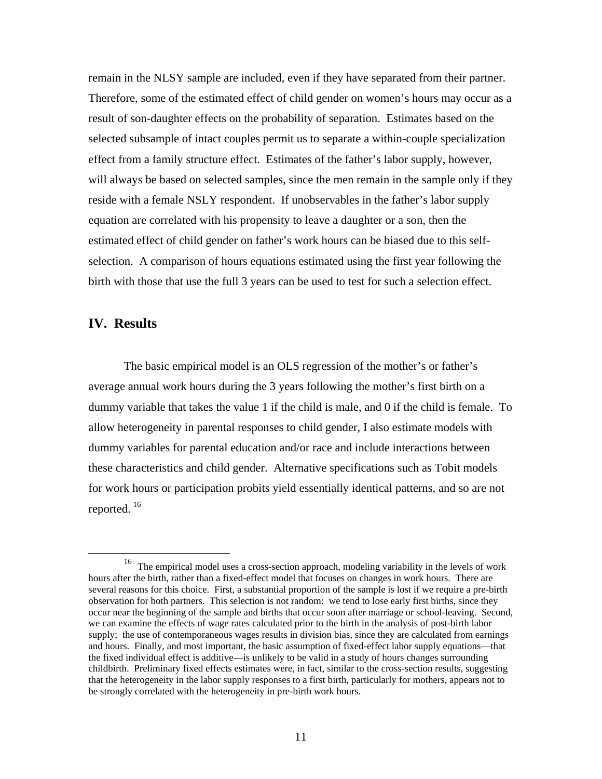remain in the NLSY sample are included, even if they have separated from their partner. Therefore, some of the estimated effect of child gender on women's hours may occur as a result of son-daughter effects on the probability of separation. Estimates based on the selected subsample of intact couples permit us to separate a within-couple specialization effect from a family structure effect. Estimates of the father's labor supply, however, will always be based on selected samples, since the men remain in the sample only if they reside with a female NSLY respondent. If unobservables in the father's labor supply equation are correlated with his propensity to leave a daughter or a son, then the estimated effect of child gender on father's work hours can be biased due to this selfselection. A comparison of hours equations estimated using the first year following the birth with those that use the full 3 years can be used to test for such a selection effect.

#### **IV. Results**

The basic empirical model is an OLS regression of the mother's or father's average annual work hours during the 3 years following the mother's first birth on a dummy variable that takes the value 1 if the child is male, and 0 if the child is female. To allow heterogeneity in parental responses to child gender, I also estimate models with dummy variables for parental education and/or race and include interactions between these characteristics and child gender. Alternative specifications such as Tobit models for work hours or participation probits yield essentially identical patterns, and so are not reported.  $16$ 

<span id="page-13-0"></span> <sup>16</sup> The empirical model uses a cross-section approach, modeling variability in the levels of work hours after the birth, rather than a fixed-effect model that focuses on changes in work hours. There are several reasons for this choice. First, a substantial proportion of the sample is lost if we require a pre-birth observation for both partners. This selection is not random: we tend to lose early first births, since they occur near the beginning of the sample and births that occur soon after marriage or school-leaving. Second, we can examine the effects of wage rates calculated prior to the birth in the analysis of post-birth labor supply; the use of contemporaneous wages results in division bias, since they are calculated from earnings and hours. Finally, and most important, the basic assumption of fixed-effect labor supply equations—that the fixed individual effect is additive—is unlikely to be valid in a study of hours changes surrounding childbirth. Preliminary fixed effects estimates were, in fact, similar to the cross-section results, suggesting that the heterogeneity in the labor supply responses to a first birth, particularly for mothers, appears not to be strongly correlated with the heterogeneity in pre-birth work hours.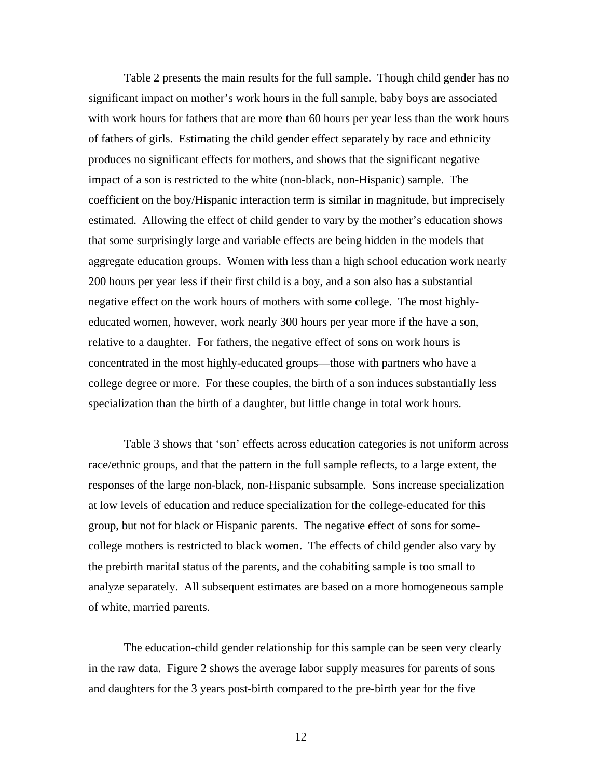Table 2 presents the main results for the full sample. Though child gender has no significant impact on mother's work hours in the full sample, baby boys are associated with work hours for fathers that are more than 60 hours per year less than the work hours of fathers of girls. Estimating the child gender effect separately by race and ethnicity produces no significant effects for mothers, and shows that the significant negative impact of a son is restricted to the white (non-black, non-Hispanic) sample. The coefficient on the boy/Hispanic interaction term is similar in magnitude, but imprecisely estimated. Allowing the effect of child gender to vary by the mother's education shows that some surprisingly large and variable effects are being hidden in the models that aggregate education groups. Women with less than a high school education work nearly 200 hours per year less if their first child is a boy, and a son also has a substantial negative effect on the work hours of mothers with some college. The most highlyeducated women, however, work nearly 300 hours per year more if the have a son, relative to a daughter. For fathers, the negative effect of sons on work hours is concentrated in the most highly-educated groups—those with partners who have a college degree or more. For these couples, the birth of a son induces substantially less specialization than the birth of a daughter, but little change in total work hours.

Table 3 shows that 'son' effects across education categories is not uniform across race/ethnic groups, and that the pattern in the full sample reflects, to a large extent, the responses of the large non-black, non-Hispanic subsample. Sons increase specialization at low levels of education and reduce specialization for the college-educated for this group, but not for black or Hispanic parents. The negative effect of sons for somecollege mothers is restricted to black women. The effects of child gender also vary by the prebirth marital status of the parents, and the cohabiting sample is too small to analyze separately. All subsequent estimates are based on a more homogeneous sample of white, married parents.

The education-child gender relationship for this sample can be seen very clearly in the raw data. Figure 2 shows the average labor supply measures for parents of sons and daughters for the 3 years post-birth compared to the pre-birth year for the five

12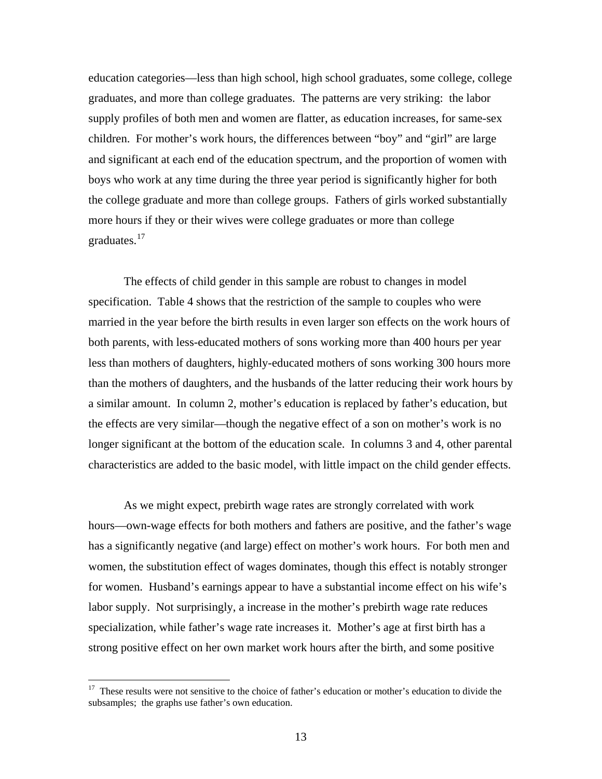education categories—less than high school, high school graduates, some college, college graduates, and more than college graduates. The patterns are very striking: the labor supply profiles of both men and women are flatter, as education increases, for same-sex children. For mother's work hours, the differences between "boy" and "girl" are large and significant at each end of the education spectrum, and the proportion of women with boys who work at any time during the three year period is significantly higher for both the college graduate and more than college groups. Fathers of girls worked substantially more hours if they or their wives were college graduates or more than college graduates.<sup>[17](#page-15-0)</sup>

The effects of child gender in this sample are robust to changes in model specification. Table 4 shows that the restriction of the sample to couples who were married in the year before the birth results in even larger son effects on the work hours of both parents, with less-educated mothers of sons working more than 400 hours per year less than mothers of daughters, highly-educated mothers of sons working 300 hours more than the mothers of daughters, and the husbands of the latter reducing their work hours by a similar amount. In column 2, mother's education is replaced by father's education, but the effects are very similar—though the negative effect of a son on mother's work is no longer significant at the bottom of the education scale. In columns 3 and 4, other parental characteristics are added to the basic model, with little impact on the child gender effects.

As we might expect, prebirth wage rates are strongly correlated with work hours—own-wage effects for both mothers and fathers are positive, and the father's wage has a significantly negative (and large) effect on mother's work hours. For both men and women, the substitution effect of wages dominates, though this effect is notably stronger for women. Husband's earnings appear to have a substantial income effect on his wife's labor supply. Not surprisingly, a increase in the mother's prebirth wage rate reduces specialization, while father's wage rate increases it. Mother's age at first birth has a strong positive effect on her own market work hours after the birth, and some positive

<span id="page-15-0"></span><sup>&</sup>lt;sup>17</sup> These results were not sensitive to the choice of father's education or mother's education to divide the subsamples; the graphs use father's own education.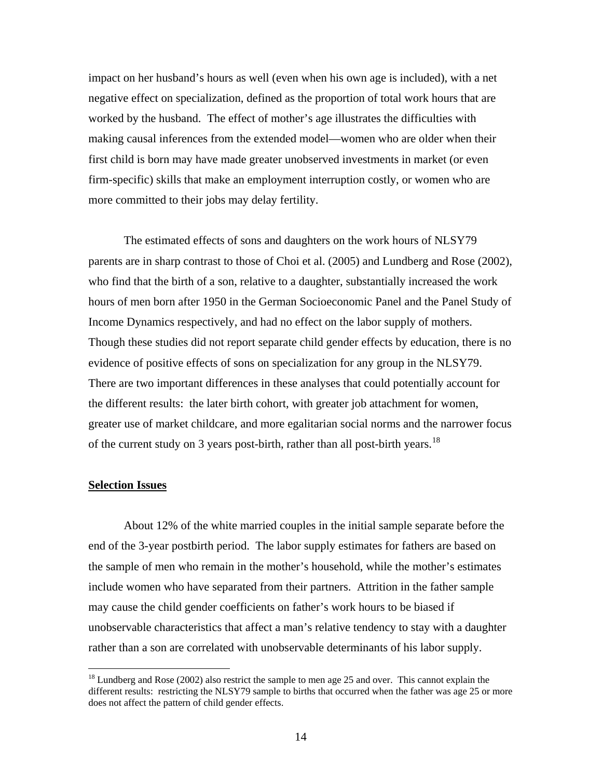impact on her husband's hours as well (even when his own age is included), with a net negative effect on specialization, defined as the proportion of total work hours that are worked by the husband. The effect of mother's age illustrates the difficulties with making causal inferences from the extended model—women who are older when their first child is born may have made greater unobserved investments in market (or even firm-specific) skills that make an employment interruption costly, or women who are more committed to their jobs may delay fertility.

The estimated effects of sons and daughters on the work hours of NLSY79 parents are in sharp contrast to those of Choi et al. (2005) and Lundberg and Rose (2002), who find that the birth of a son, relative to a daughter, substantially increased the work hours of men born after 1950 in the German Socioeconomic Panel and the Panel Study of Income Dynamics respectively, and had no effect on the labor supply of mothers. Though these studies did not report separate child gender effects by education, there is no evidence of positive effects of sons on specialization for any group in the NLSY79. There are two important differences in these analyses that could potentially account for the different results: the later birth cohort, with greater job attachment for women, greater use of market childcare, and more egalitarian social norms and the narrower focus of the current study on 3 years post-birth, rather than all post-birth years.<sup>[18](#page-16-0)</sup>

#### **Selection Issues**

 $\overline{a}$ 

About 12% of the white married couples in the initial sample separate before the end of the 3-year postbirth period. The labor supply estimates for fathers are based on the sample of men who remain in the mother's household, while the mother's estimates include women who have separated from their partners. Attrition in the father sample may cause the child gender coefficients on father's work hours to be biased if unobservable characteristics that affect a man's relative tendency to stay with a daughter rather than a son are correlated with unobservable determinants of his labor supply.

<span id="page-16-0"></span><sup>&</sup>lt;sup>18</sup> Lundberg and Rose (2002) also restrict the sample to men age 25 and over. This cannot explain the different results: restricting the NLSY79 sample to births that occurred when the father was age 25 or more does not affect the pattern of child gender effects.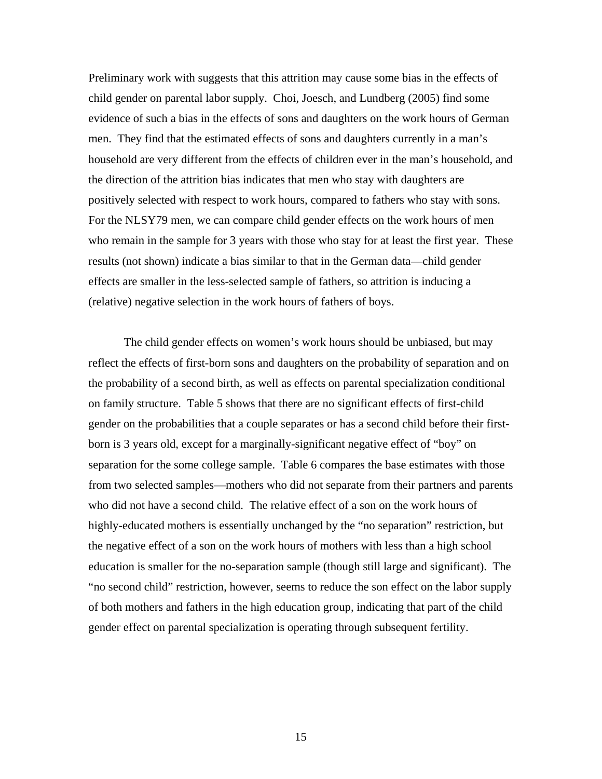Preliminary work with suggests that this attrition may cause some bias in the effects of child gender on parental labor supply. Choi, Joesch, and Lundberg (2005) find some evidence of such a bias in the effects of sons and daughters on the work hours of German men. They find that the estimated effects of sons and daughters currently in a man's household are very different from the effects of children ever in the man's household, and the direction of the attrition bias indicates that men who stay with daughters are positively selected with respect to work hours, compared to fathers who stay with sons. For the NLSY79 men, we can compare child gender effects on the work hours of men who remain in the sample for 3 years with those who stay for at least the first year. These results (not shown) indicate a bias similar to that in the German data—child gender effects are smaller in the less-selected sample of fathers, so attrition is inducing a (relative) negative selection in the work hours of fathers of boys.

The child gender effects on women's work hours should be unbiased, but may reflect the effects of first-born sons and daughters on the probability of separation and on the probability of a second birth, as well as effects on parental specialization conditional on family structure. Table 5 shows that there are no significant effects of first-child gender on the probabilities that a couple separates or has a second child before their firstborn is 3 years old, except for a marginally-significant negative effect of "boy" on separation for the some college sample. Table 6 compares the base estimates with those from two selected samples—mothers who did not separate from their partners and parents who did not have a second child. The relative effect of a son on the work hours of highly-educated mothers is essentially unchanged by the "no separation" restriction, but the negative effect of a son on the work hours of mothers with less than a high school education is smaller for the no-separation sample (though still large and significant). The "no second child" restriction, however, seems to reduce the son effect on the labor supply of both mothers and fathers in the high education group, indicating that part of the child gender effect on parental specialization is operating through subsequent fertility.

15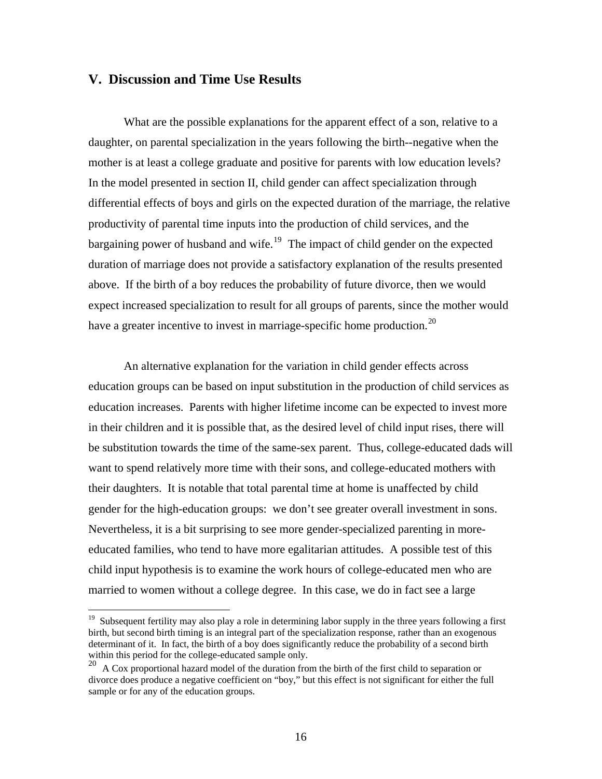#### **V. Discussion and Time Use Results**

 $\overline{a}$ 

What are the possible explanations for the apparent effect of a son, relative to a daughter, on parental specialization in the years following the birth--negative when the mother is at least a college graduate and positive for parents with low education levels? In the model presented in section II, child gender can affect specialization through differential effects of boys and girls on the expected duration of the marriage, the relative productivity of parental time inputs into the production of child services, and the bargaining power of husband and wife.<sup>19</sup> The impact of child gender on the expected duration of marriage does not provide a satisfactory explanation of the results presented above. If the birth of a boy reduces the probability of future divorce, then we would expect increased specialization to result for all groups of parents, since the mother would have a greater incentive to invest in marriage-specific home production.<sup>[20](#page-18-1)</sup>

An alternative explanation for the variation in child gender effects across education groups can be based on input substitution in the production of child services as education increases. Parents with higher lifetime income can be expected to invest more in their children and it is possible that, as the desired level of child input rises, there will be substitution towards the time of the same-sex parent. Thus, college-educated dads will want to spend relatively more time with their sons, and college-educated mothers with their daughters. It is notable that total parental time at home is unaffected by child gender for the high-education groups: we don't see greater overall investment in sons. Nevertheless, it is a bit surprising to see more gender-specialized parenting in moreeducated families, who tend to have more egalitarian attitudes. A possible test of this child input hypothesis is to examine the work hours of college-educated men who are married to women without a college degree. In this case, we do in fact see a large

<span id="page-18-0"></span><sup>&</sup>lt;sup>19</sup> Subsequent fertility may also play a role in determining labor supply in the three years following a first birth, but second birth timing is an integral part of the specialization response, rather than an exogenous determinant of it. In fact, the birth of a boy does significantly reduce the probability of a second birth within this period for the college-educated sample only.

<span id="page-18-1"></span><sup>&</sup>lt;sup>20</sup> A Cox proportional hazard model of the duration from the birth of the first child to separation or divorce does produce a negative coefficient on "boy," but this effect is not significant for either the full sample or for any of the education groups.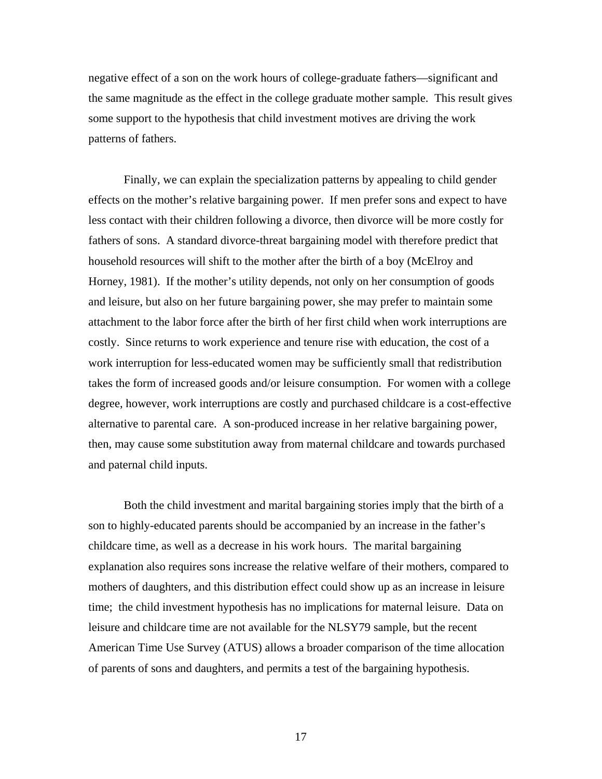negative effect of a son on the work hours of college-graduate fathers—significant and the same magnitude as the effect in the college graduate mother sample. This result gives some support to the hypothesis that child investment motives are driving the work patterns of fathers.

Finally, we can explain the specialization patterns by appealing to child gender effects on the mother's relative bargaining power. If men prefer sons and expect to have less contact with their children following a divorce, then divorce will be more costly for fathers of sons. A standard divorce-threat bargaining model with therefore predict that household resources will shift to the mother after the birth of a boy (McElroy and Horney, 1981). If the mother's utility depends, not only on her consumption of goods and leisure, but also on her future bargaining power, she may prefer to maintain some attachment to the labor force after the birth of her first child when work interruptions are costly. Since returns to work experience and tenure rise with education, the cost of a work interruption for less-educated women may be sufficiently small that redistribution takes the form of increased goods and/or leisure consumption. For women with a college degree, however, work interruptions are costly and purchased childcare is a cost-effective alternative to parental care. A son-produced increase in her relative bargaining power, then, may cause some substitution away from maternal childcare and towards purchased and paternal child inputs.

Both the child investment and marital bargaining stories imply that the birth of a son to highly-educated parents should be accompanied by an increase in the father's childcare time, as well as a decrease in his work hours. The marital bargaining explanation also requires sons increase the relative welfare of their mothers, compared to mothers of daughters, and this distribution effect could show up as an increase in leisure time; the child investment hypothesis has no implications for maternal leisure. Data on leisure and childcare time are not available for the NLSY79 sample, but the recent American Time Use Survey (ATUS) allows a broader comparison of the time allocation of parents of sons and daughters, and permits a test of the bargaining hypothesis.

17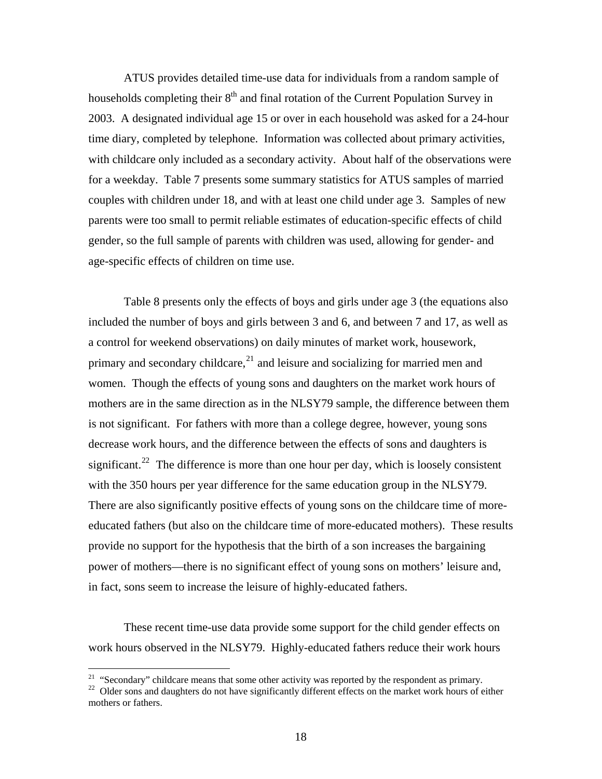ATUS provides detailed time-use data for individuals from a random sample of households completing their  $8<sup>th</sup>$  and final rotation of the Current Population Survey in 2003. A designated individual age 15 or over in each household was asked for a 24-hour time diary, completed by telephone. Information was collected about primary activities, with childcare only included as a secondary activity. About half of the observations were for a weekday. Table 7 presents some summary statistics for ATUS samples of married couples with children under 18, and with at least one child under age 3. Samples of new parents were too small to permit reliable estimates of education-specific effects of child gender, so the full sample of parents with children was used, allowing for gender- and age-specific effects of children on time use.

Table 8 presents only the effects of boys and girls under age 3 (the equations also included the number of boys and girls between 3 and 6, and between 7 and 17, as well as a control for weekend observations) on daily minutes of market work, housework, primary and secondary childcare, $^{21}$  $^{21}$  $^{21}$  and leisure and socializing for married men and women. Though the effects of young sons and daughters on the market work hours of mothers are in the same direction as in the NLSY79 sample, the difference between them is not significant. For fathers with more than a college degree, however, young sons decrease work hours, and the difference between the effects of sons and daughters is significant.<sup>[22](#page-20-1)</sup> The difference is more than one hour per day, which is loosely consistent with the 350 hours per year difference for the same education group in the NLSY79. There are also significantly positive effects of young sons on the childcare time of moreeducated fathers (but also on the childcare time of more-educated mothers). These results provide no support for the hypothesis that the birth of a son increases the bargaining power of mothers—there is no significant effect of young sons on mothers' leisure and, in fact, sons seem to increase the leisure of highly-educated fathers.

These recent time-use data provide some support for the child gender effects on work hours observed in the NLSY79. Highly-educated fathers reduce their work hours

<span id="page-20-1"></span><span id="page-20-0"></span><sup>&</sup>lt;sup>21</sup> "Secondary" childcare means that some other activity was reported by the respondent as primary.<br><sup>22</sup> Older sons and daughters do not have significantly different effects on the market work hours of either mothers or fathers.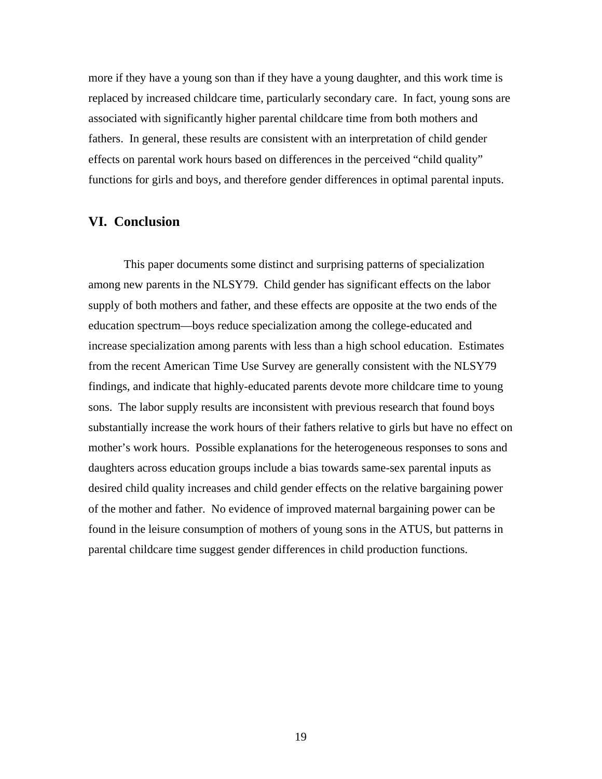more if they have a young son than if they have a young daughter, and this work time is replaced by increased childcare time, particularly secondary care. In fact, young sons are associated with significantly higher parental childcare time from both mothers and fathers. In general, these results are consistent with an interpretation of child gender effects on parental work hours based on differences in the perceived "child quality" functions for girls and boys, and therefore gender differences in optimal parental inputs.

#### **VI. Conclusion**

This paper documents some distinct and surprising patterns of specialization among new parents in the NLSY79. Child gender has significant effects on the labor supply of both mothers and father, and these effects are opposite at the two ends of the education spectrum—boys reduce specialization among the college-educated and increase specialization among parents with less than a high school education. Estimates from the recent American Time Use Survey are generally consistent with the NLSY79 findings, and indicate that highly-educated parents devote more childcare time to young sons. The labor supply results are inconsistent with previous research that found boys substantially increase the work hours of their fathers relative to girls but have no effect on mother's work hours. Possible explanations for the heterogeneous responses to sons and daughters across education groups include a bias towards same-sex parental inputs as desired child quality increases and child gender effects on the relative bargaining power of the mother and father. No evidence of improved maternal bargaining power can be found in the leisure consumption of mothers of young sons in the ATUS, but patterns in parental childcare time suggest gender differences in child production functions.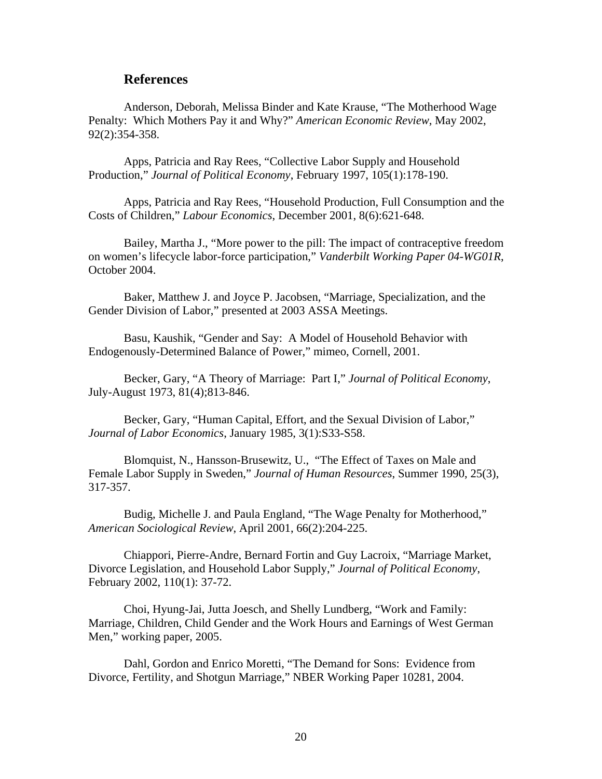#### **References**

Anderson, Deborah, Melissa Binder and Kate Krause, "The Motherhood Wage Penalty: Which Mothers Pay it and Why?" *American Economic Review*, May 2002, 92(2):354-358.

Apps, Patricia and Ray Rees, "Collective Labor Supply and Household Production," *Journal of Political Economy*, February 1997, 105(1):178-190.

Apps, Patricia and Ray Rees, "Household Production, Full Consumption and the Costs of Children," *Labour Economics*, December 2001, 8(6):621-648.

Bailey, Martha J., "More power to the pill: The impact of contraceptive freedom on women's lifecycle labor-force participation," *Vanderbilt Working Paper 04-WG01R*, October 2004.

Baker, Matthew J. and Joyce P. Jacobsen, "Marriage, Specialization, and the Gender Division of Labor," presented at 2003 ASSA Meetings.

Basu, Kaushik, "Gender and Say: A Model of Household Behavior with Endogenously-Determined Balance of Power," mimeo, Cornell, 2001.

Becker, Gary, "A Theory of Marriage: Part I," *Journal of Political Economy*, July-August 1973, 81(4);813-846.

Becker, Gary, "Human Capital, Effort, and the Sexual Division of Labor," *Journal of Labor Economics*, January 1985, 3(1):S33-S58.

Blomquist, N., Hansson-Brusewitz, U., "The Effect of Taxes on Male and Female Labor Supply in Sweden," *Journal of Human Resources*, Summer 1990, 25(3), 317-357.

Budig, Michelle J. and Paula England, "The Wage Penalty for Motherhood," *American Sociological Review*, April 2001, 66(2):204-225.

Chiappori, Pierre-Andre, Bernard Fortin and Guy Lacroix, "Marriage Market, Divorce Legislation, and Household Labor Supply," *Journal of Political Economy*, February 2002, 110(1): 37-72.

Choi, Hyung-Jai, Jutta Joesch, and Shelly Lundberg, "Work and Family: Marriage, Children, Child Gender and the Work Hours and Earnings of West German Men," working paper, 2005.

Dahl, Gordon and Enrico Moretti, "The Demand for Sons: Evidence from Divorce, Fertility, and Shotgun Marriage," NBER Working Paper 10281, 2004.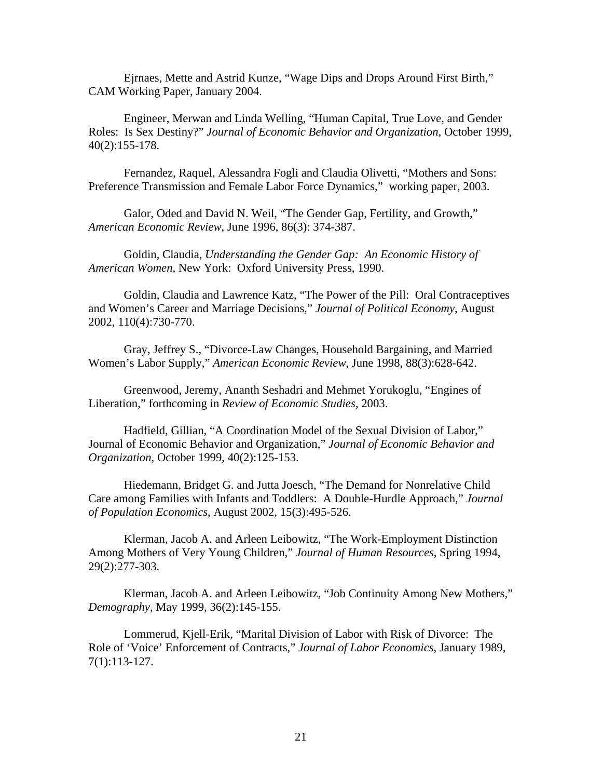Ejrnaes, Mette and Astrid Kunze, "Wage Dips and Drops Around First Birth," CAM Working Paper, January 2004.

Engineer, Merwan and Linda Welling, "Human Capital, True Love, and Gender Roles: Is Sex Destiny?" *Journal of Economic Behavior and Organization*, October 1999, 40(2):155-178.

Fernandez, Raquel, Alessandra Fogli and Claudia Olivetti, "Mothers and Sons: Preference Transmission and Female Labor Force Dynamics," working paper, 2003.

Galor, Oded and David N. Weil, "The Gender Gap, Fertility, and Growth," *American Economic Review*, June 1996, 86(3): 374-387.

Goldin, Claudia, *Understanding the Gender Gap: An Economic History of American Women*, New York: Oxford University Press, 1990.

Goldin, Claudia and Lawrence Katz, "The Power of the Pill: Oral Contraceptives and Women's Career and Marriage Decisions," *Journal of Political Economy*, August 2002, 110(4):730-770.

Gray, Jeffrey S., "Divorce-Law Changes, Household Bargaining, and Married Women's Labor Supply," *American Economic Review*, June 1998, 88(3):628-642.

Greenwood, Jeremy, Ananth Seshadri and Mehmet Yorukoglu, "Engines of Liberation," forthcoming in *Review of Economic Studies*, 2003.

Hadfield, Gillian, "A Coordination Model of the Sexual Division of Labor," Journal of Economic Behavior and Organization," *Journal of Economic Behavior and Organization*, October 1999, 40(2):125-153.

Hiedemann, Bridget G. and Jutta Joesch, "The Demand for Nonrelative Child Care among Families with Infants and Toddlers: A Double-Hurdle Approach," *Journal of Population Economics*, August 2002, 15(3):495-526.

Klerman, Jacob A. and Arleen Leibowitz, "The Work-Employment Distinction Among Mothers of Very Young Children," *Journal of Human Resources*, Spring 1994, 29(2):277-303.

Klerman, Jacob A. and Arleen Leibowitz, "Job Continuity Among New Mothers," *Demography*, May 1999, 36(2):145-155.

Lommerud, Kjell-Erik, "Marital Division of Labor with Risk of Divorce: The Role of 'Voice' Enforcement of Contracts," *Journal of Labor Economics*, January 1989, 7(1):113-127.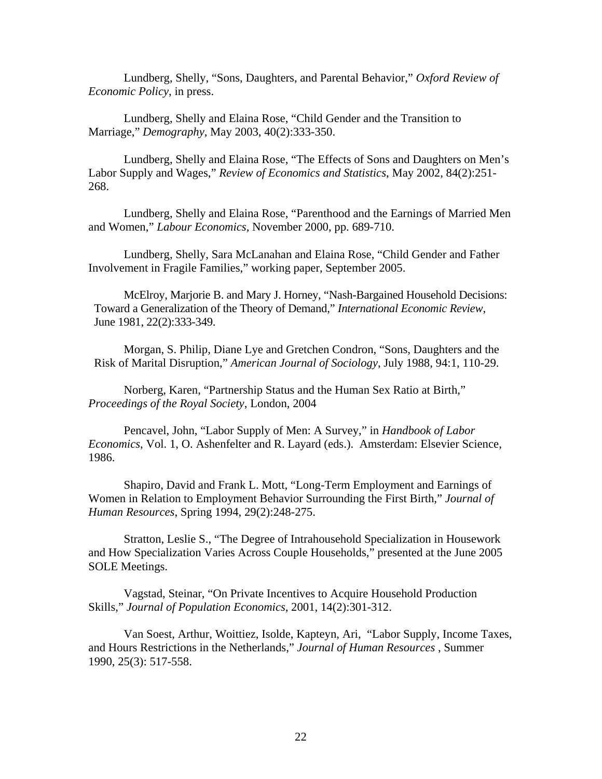Lundberg, Shelly, "Sons, Daughters, and Parental Behavior," *Oxford Review of Economic Policy*, in press.

Lundberg, Shelly and Elaina Rose, "Child Gender and the Transition to Marriage," *Demography*, May 2003, 40(2):333-350.

Lundberg, Shelly and Elaina Rose, "The Effects of Sons and Daughters on Men's Labor Supply and Wages," *Review of Economics and Statistics*, May 2002, 84(2):251- 268.

Lundberg, Shelly and Elaina Rose, "Parenthood and the Earnings of Married Men and Women," *Labour Economics,* November 2000, pp. 689-710.

Lundberg, Shelly, Sara McLanahan and Elaina Rose, "Child Gender and Father Involvement in Fragile Families," working paper, September 2005.

McElroy, Marjorie B. and Mary J. Horney, "Nash-Bargained Household Decisions: Toward a Generalization of the Theory of Demand," *International Economic Review*, June 1981, 22(2):333-349.

Morgan, S. Philip, Diane Lye and Gretchen Condron, "Sons, Daughters and the Risk of Marital Disruption," *American Journal of Sociology*, July 1988, 94:1, 110-29.

Norberg, Karen, "Partnership Status and the Human Sex Ratio at Birth," *Proceedings of the Royal Society*, London, 2004

Pencavel, John, "Labor Supply of Men: A Survey," in *Handbook of Labor Economics*, Vol. 1, O. Ashenfelter and R. Layard (eds.). Amsterdam: Elsevier Science, 1986.

Shapiro, David and Frank L. Mott, "Long-Term Employment and Earnings of Women in Relation to Employment Behavior Surrounding the First Birth," *Journal of Human Resources*, Spring 1994, 29(2):248-275.

Stratton, Leslie S., "The Degree of Intrahousehold Specialization in Housework and How Specialization Varies Across Couple Households," presented at the June 2005 SOLE Meetings.

Vagstad, Steinar, "On Private Incentives to Acquire Household Production Skills," *Journal of Population Economics*, 2001, 14(2):301-312.

Van Soest, Arthur, Woittiez, Isolde, Kapteyn, Ari, "Labor Supply, Income Taxes, and Hours Restrictions in the Netherlands," *Journal of Human Resources* , Summer 1990, 25(3): 517-558.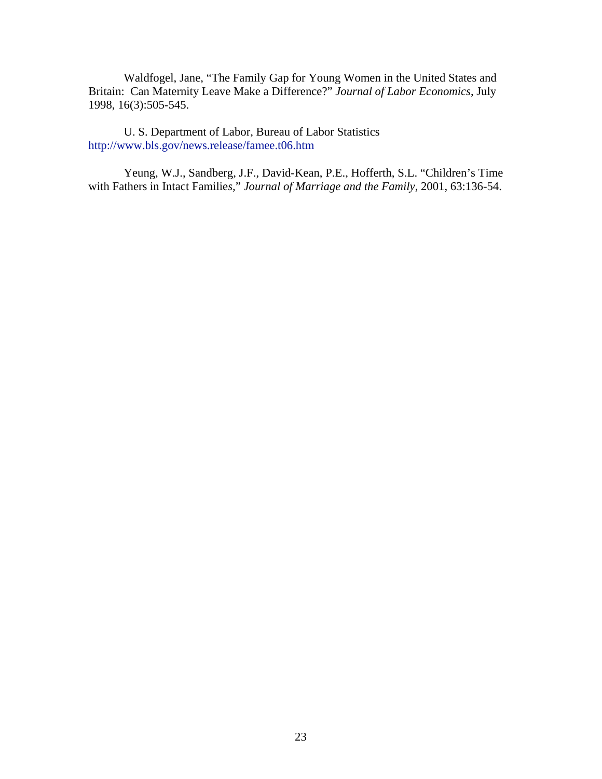Waldfogel, Jane, "The Family Gap for Young Women in the United States and Britain: Can Maternity Leave Make a Difference?" *Journal of Labor Economics*, July 1998, 16(3):505-545.

U. S. Department of Labor, Bureau of Labor Statistics <http://www.bls.gov/news.release/famee.t06.htm>

Yeung, W.J., Sandberg, J.F., David-Kean, P.E., Hofferth, S.L. "Children's Time with Fathers in Intact Familie*s,*" *Journal of Marriage and the Family*, 2001, 63:136-54.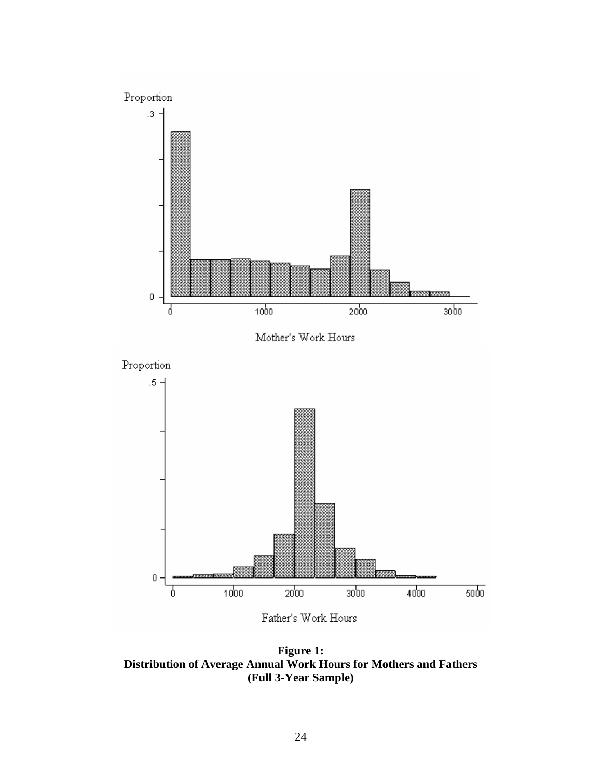

**Figure 1: Distribution of Average Annual Work Hours for Mothers and Fathers (Full 3-Year Sample)**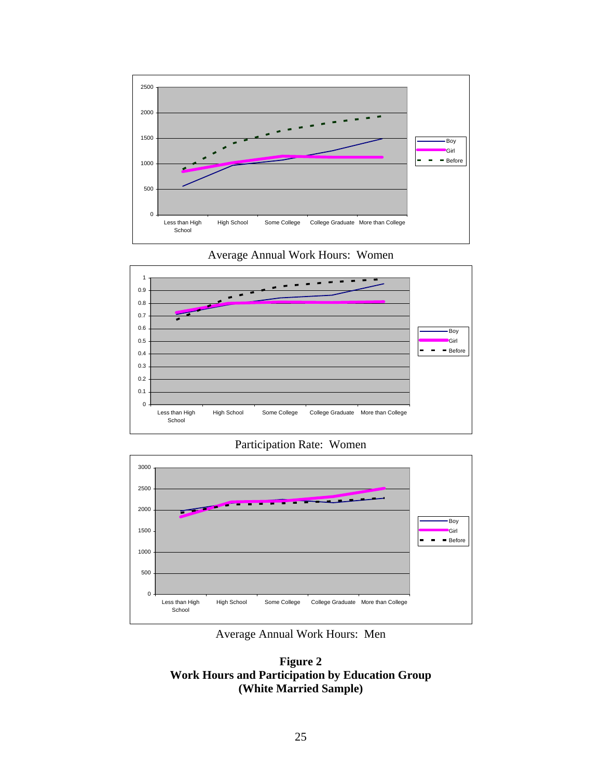





Participation Rate: Women



Average Annual Work Hours: Men

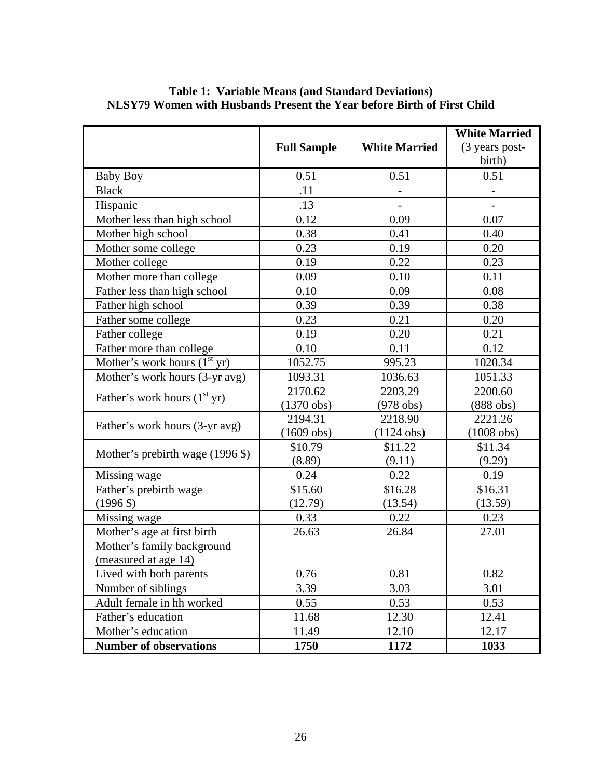|                                  |                    |                          | <b>White Married</b>     |  |
|----------------------------------|--------------------|--------------------------|--------------------------|--|
|                                  | <b>Full Sample</b> | <b>White Married</b>     | (3 years post-           |  |
|                                  |                    |                          | birth)                   |  |
| <b>Baby Boy</b>                  | 0.51               | 0.51                     | 0.51                     |  |
| <b>Black</b>                     | .11                |                          |                          |  |
| Hispanic                         | .13                | $\overline{\phantom{a}}$ | $\overline{\phantom{a}}$ |  |
| Mother less than high school     | 0.12               | 0.09                     | 0.07                     |  |
| Mother high school               | 0.38               | 0.41                     | 0.40                     |  |
| Mother some college              | 0.23               | 0.19                     | 0.20                     |  |
| Mother college                   | 0.19               | 0.22                     | 0.23                     |  |
| Mother more than college         | 0.09               | 0.10                     | 0.11                     |  |
| Father less than high school     | 0.10               | 0.09                     | 0.08                     |  |
| Father high school               | 0.39               | 0.39                     | 0.38                     |  |
| Father some college              | 0.23               | 0.21                     | 0.20                     |  |
| Father college                   | 0.19               | 0.20                     | 0.21                     |  |
| Father more than college         | 0.10               | 0.11                     | 0.12                     |  |
| Mother's work hours $(1st yr)$   | 1052.75            | 995.23                   | 1020.34                  |  |
| Mother's work hours (3-yr avg)   | 1093.31            | 1036.63                  | 1051.33                  |  |
| Father's work hours $(1st yr)$   | 2170.62            | 2203.29                  | 2200.60                  |  |
|                                  | $(1370$ obs)       | $(978$ obs)              | $(888$ obs)              |  |
| Father's work hours (3-yr avg)   | 2194.31            | 2218.90                  | 2221.26                  |  |
|                                  | $(1609$ obs)       | $(1124$ obs)             | $(1008$ obs)             |  |
| Mother's prebirth wage (1996 \$) | \$10.79            | \$11.22                  | \$11.34                  |  |
|                                  | (8.89)             | (9.11)                   | (9.29)                   |  |
| Missing wage                     | 0.24               | 0.22                     | 0.19                     |  |
| Father's prebirth wage           | \$15.60            | \$16.28                  | \$16.31                  |  |
| $(1996 \text{ } $)$              | (12.79)            | (13.54)                  | (13.59)                  |  |
| Missing wage                     | 0.33               | 0.22                     | 0.23                     |  |
| Mother's age at first birth      | 26.63              | 26.84                    | 27.01                    |  |
| Mother's family background       |                    |                          |                          |  |
| <u>(measured at age 14)</u>      |                    |                          |                          |  |
| Lived with both parents          | 0.76               | 0.81                     | 0.82                     |  |
| Number of siblings               | 3.39               | 3.03                     | 3.01                     |  |
| Adult female in hh worked        | 0.55               | 0.53                     | 0.53                     |  |
| Father's education               | 11.68              | 12.30                    | 12.41                    |  |
| Mother's education               | 11.49              | 12.10                    | 12.17                    |  |
| <b>Number of observations</b>    | 1750               | 1172                     | 1033                     |  |

#### **Table 1: Variable Means (and Standard Deviations) NLSY79 Women with Husbands Present the Year before Birth of First Child**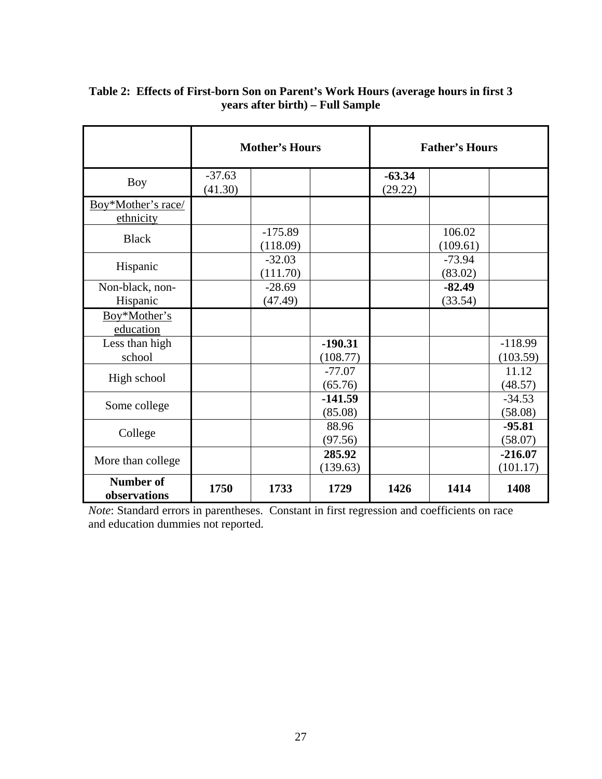|                                  | <b>Mother's Hours</b> |                       |                       |                     | <b>Father's Hours</b> |                       |
|----------------------------------|-----------------------|-----------------------|-----------------------|---------------------|-----------------------|-----------------------|
| <b>Boy</b>                       | $-37.63$<br>(41.30)   |                       |                       | $-63.34$<br>(29.22) |                       |                       |
| Boy*Mother's race/<br>ethnicity  |                       |                       |                       |                     |                       |                       |
| <b>Black</b>                     |                       | $-175.89$<br>(118.09) |                       |                     | 106.02<br>(109.61)    |                       |
| Hispanic                         |                       | $-32.03$<br>(111.70)  |                       |                     | $-73.94$<br>(83.02)   |                       |
| Non-black, non-<br>Hispanic      |                       | $-28.69$<br>(47.49)   |                       |                     | $-82.49$<br>(33.54)   |                       |
| Boy*Mother's<br>education        |                       |                       |                       |                     |                       |                       |
| Less than high<br>school         |                       |                       | $-190.31$<br>(108.77) |                     |                       | $-118.99$<br>(103.59) |
| High school                      |                       |                       | $-77.07$<br>(65.76)   |                     |                       | 11.12<br>(48.57)      |
| Some college                     |                       |                       | $-141.59$<br>(85.08)  |                     |                       | $-34.53$<br>(58.08)   |
| College                          |                       |                       | 88.96<br>(97.56)      |                     |                       | $-95.81$<br>(58.07)   |
| More than college                |                       |                       | 285.92<br>(139.63)    |                     |                       | $-216.07$<br>(101.17) |
| <b>Number of</b><br>observations | 1750                  | 1733                  | 1729                  | 1426                | 1414                  | 1408                  |

#### **Table 2: Effects of First-born Son on Parent's Work Hours (average hours in first 3 years after birth) – Full Sample**

*Note*: Standard errors in parentheses. Constant in first regression and coefficients on race and education dummies not reported.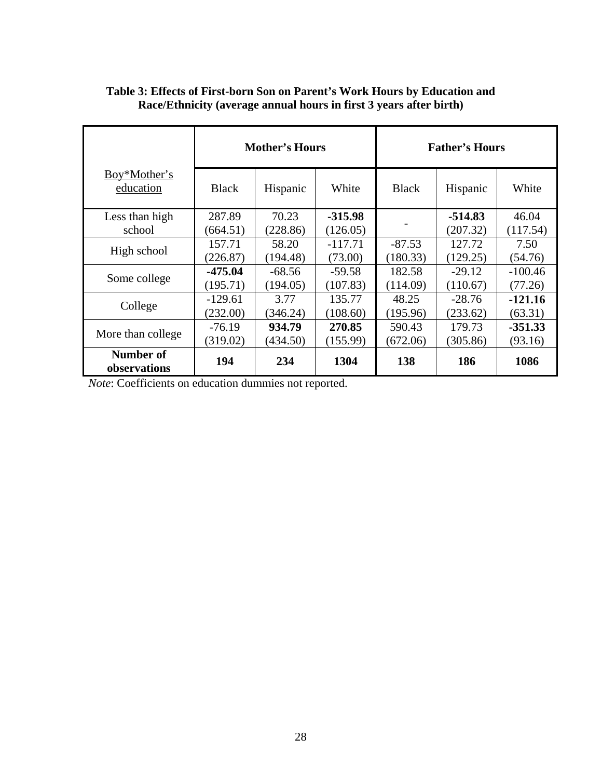|                           |              | <b>Mother's Hours</b> |           | <b>Father's Hours</b> |           |           |  |
|---------------------------|--------------|-----------------------|-----------|-----------------------|-----------|-----------|--|
| Boy*Mother's<br>education | <b>Black</b> | Hispanic              | White     | <b>Black</b>          | Hispanic  | White     |  |
| Less than high            | 287.89       | 70.23                 | $-315.98$ |                       | $-514.83$ | 46.04     |  |
| school                    | (664.51)     | (228.86)              | (126.05)  |                       | (207.32)  | (117.54)  |  |
|                           | 157.71       | 58.20                 | $-117.71$ | $-87.53$              | 127.72    | 7.50      |  |
| High school               | (226.87)     | (194.48)              | (73.00)   | (180.33)              | (129.25)  | (54.76)   |  |
|                           | $-475.04$    | $-68.56$              | $-59.58$  | 182.58                | $-29.12$  | $-100.46$ |  |
| Some college              | (195.71)     | (194.05)              | (107.83)  | (114.09)              | (110.67)  | (77.26)   |  |
|                           | $-129.61$    | 3.77                  | 135.77    | 48.25                 | $-28.76$  | $-121.16$ |  |
| College                   | (232.00)     | (346.24)              | (108.60)  | (195.96)              | (233.62)  | (63.31)   |  |
|                           | $-76.19$     | 934.79                | 270.85    | 590.43                | 179.73    | $-351.33$ |  |
| More than college         | (319.02)     | (434.50)              | (155.99)  | (672.06)              | (305.86)  | (93.16)   |  |
| Number of<br>observations | 194          | 234                   | 1304      | 138                   | 186       | 1086      |  |

#### **Table 3: Effects of First-born Son on Parent's Work Hours by Education and Race/Ethnicity (average annual hours in first 3 years after birth)**

*Note*: Coefficients on education dummies not reported.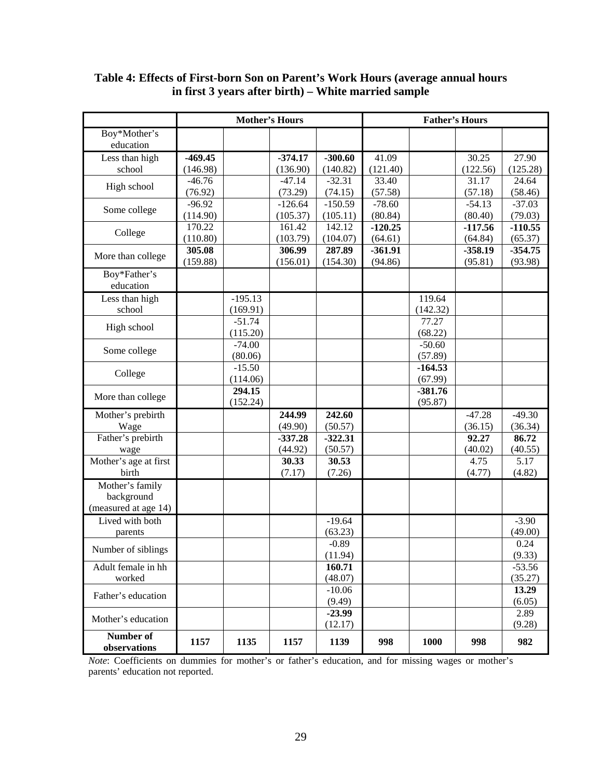|                                  | <b>Mother's Hours</b> |                    |           | <b>Father's Hours</b> |           |                      |           |                 |
|----------------------------------|-----------------------|--------------------|-----------|-----------------------|-----------|----------------------|-----------|-----------------|
| Boy*Mother's<br>education        |                       |                    |           |                       |           |                      |           |                 |
| Less than high                   | $-469.45$             |                    | $-374.17$ | $-300.60$             | 41.09     |                      | 30.25     | 27.90           |
| school                           | (146.98)              |                    | (136.90)  | (140.82)              | (121.40)  |                      | (122.56)  | (125.28)        |
| High school                      | $-46.76$              |                    | $-47.14$  | $-32.31$              | 33.40     |                      | 31.17     | 24.64           |
|                                  | (76.92)               |                    | (73.29)   | (74.15)               | (57.58)   |                      | (57.18)   | (58.46)         |
| Some college                     | $-96.92$              |                    | $-126.64$ | $-150.59$             | $-78.60$  |                      | $-54.13$  | $-37.03$        |
|                                  | (114.90)              |                    | (105.37)  | (105.11)              | (80.84)   |                      | (80.40)   | (79.03)         |
| College                          | 170.22                |                    | 161.42    | 142.12                | $-120.25$ |                      | $-117.56$ | $-110.55$       |
|                                  | (110.80)              |                    | (103.79)  | (104.07)              | (64.61)   |                      | (64.84)   | (65.37)         |
| More than college                | 305.08                |                    | 306.99    | 287.89                | $-361.91$ |                      | $-358.19$ | $-354.75$       |
|                                  | (159.88)              |                    | (156.01)  | (154.30)              | (94.86)   |                      | (95.81)   | (93.98)         |
| Boy*Father's<br>education        |                       |                    |           |                       |           |                      |           |                 |
| Less than high                   |                       | $-195.13$          |           |                       |           | 119.64               |           |                 |
| school                           |                       | (169.91)           |           |                       |           | (142.32)             |           |                 |
|                                  |                       | $-51.74$           |           |                       |           | 77.27                |           |                 |
| High school                      |                       | (115.20)           |           |                       |           | (68.22)              |           |                 |
|                                  |                       | $-74.00$           |           |                       |           | $-50.60$             |           |                 |
| Some college                     |                       | (80.06)            |           |                       |           | (57.89)              |           |                 |
| College                          |                       | $-15.50$           |           |                       |           | $-164.53$            |           |                 |
|                                  |                       | (114.06)           |           |                       |           | (67.99)              |           |                 |
| More than college                |                       | 294.15<br>(152.24) |           |                       |           | $-381.76$<br>(95.87) |           |                 |
| Mother's prebirth                |                       |                    | 244.99    | 242.60                |           |                      | $-47.28$  | $-49.30$        |
| Wage                             |                       |                    | (49.90)   | (50.57)               |           |                      | (36.15)   | (36.34)         |
| Father's prebirth                |                       |                    | $-337.28$ | $-322.31$             |           |                      | 92.27     | 86.72           |
| wage                             |                       |                    | (44.92)   | (50.57)               |           |                      | (40.02)   | (40.55)         |
| Mother's age at first            |                       |                    | 30.33     | 30.53                 |           |                      | 4.75      | 5.17            |
| birth                            |                       |                    | (7.17)    | (7.26)                |           |                      | (4.77)    | (4.82)          |
| Mother's family<br>background    |                       |                    |           |                       |           |                      |           |                 |
| (measured at age 14)             |                       |                    |           |                       |           |                      |           |                 |
| Lived with both                  |                       |                    |           | $-19.64$              |           |                      |           | $-3.90$         |
| parents                          |                       |                    |           | (63.23)               |           |                      |           | (49.00)         |
|                                  |                       |                    |           | $-0.89$               |           |                      |           | 0.24            |
| Number of siblings               |                       |                    |           | (11.94)               |           |                      |           | (9.33)          |
| Adult female in hh               |                       |                    |           | 160.71                |           |                      |           | $-53.56$        |
| worked                           |                       |                    |           | (48.07)               |           |                      |           | (35.27)         |
| Father's education               |                       |                    |           | $-10.06$<br>(9.49)    |           |                      |           | 13.29<br>(6.05) |
|                                  |                       |                    |           | $-23.99$              |           |                      |           | 2.89            |
| Mother's education               |                       |                    |           | (12.17)               |           |                      |           | (9.28)          |
| <b>Number of</b><br>observations | 1157                  | 1135               | 1157      | 1139                  | 998       | 1000                 | 998       | 982             |

#### **Table 4: Effects of First-born Son on Parent's Work Hours (average annual hours in first 3 years after birth) – White married sample**

*Note*: Coefficients on dummies for mother's or father's education, and for missing wages or mother's parents' education not reported.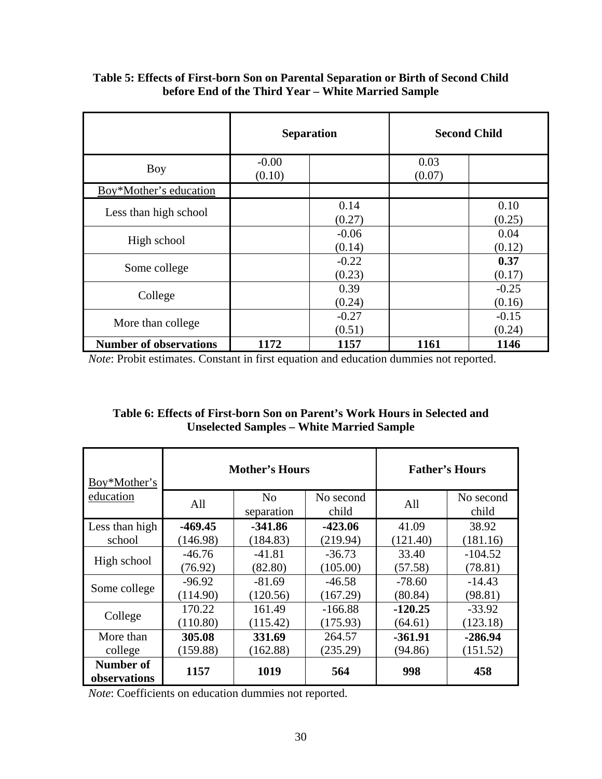|                               | <b>Separation</b> |                   | <b>Second Child</b> |                   |
|-------------------------------|-------------------|-------------------|---------------------|-------------------|
| <b>Boy</b>                    | $-0.00$<br>(0.10) |                   | 0.03<br>(0.07)      |                   |
| Boy*Mother's education        |                   |                   |                     |                   |
| Less than high school         |                   | 0.14<br>(0.27)    |                     | 0.10<br>(0.25)    |
| High school                   |                   | $-0.06$<br>(0.14) |                     | 0.04<br>(0.12)    |
| Some college                  |                   | $-0.22$<br>(0.23) |                     | 0.37<br>(0.17)    |
| College                       |                   | 0.39<br>(0.24)    |                     | $-0.25$<br>(0.16) |
| More than college             |                   | $-0.27$<br>(0.51) |                     | $-0.15$<br>(0.24) |
| <b>Number of observations</b> | 1172              | 1157              | 1161                | 1146              |

#### **Table 5: Effects of First-born Son on Parental Separation or Birth of Second Child before End of the Third Year – White Married Sample**

*Note*: Probit estimates. Constant in first equation and education dummies not reported.

#### **Table 6: Effects of First-born Son on Parent's Work Hours in Selected and Unselected Samples – White Married Sample**

| Boy*Mother's                     |           | <b>Mother's Hours</b> | <b>Father's Hours</b> |           |                    |
|----------------------------------|-----------|-----------------------|-----------------------|-----------|--------------------|
| education                        | All       | No<br>separation      | No second<br>child    | All       | No second<br>child |
| Less than high                   | $-469.45$ | $-341.86$             | $-423.06$             | 41.09     | 38.92              |
| school                           | (146.98)  | (184.83)              | (219.94)              | (121.40)  | (181.16)           |
|                                  | $-46.76$  | $-41.81$              | $-36.73$              | 33.40     | $-104.52$          |
| High school                      | (76.92)   | (82.80)               | (105.00)              | (57.58)   | (78.81)            |
| Some college                     | $-96.92$  | $-81.69$              | $-46.58$              | $-78.60$  | $-14.43$           |
|                                  | (114.90)  | (120.56)              | (167.29)              | (80.84)   | (98.81)            |
|                                  | 170.22    | 161.49                | $-166.88$             | $-120.25$ | $-33.92$           |
| College                          | (110.80)  | (115.42)              | (175.93)              | (64.61)   | (123.18)           |
| More than                        | 305.08    | 331.69                | 264.57                | $-361.91$ | $-286.94$          |
| college                          | (159.88)  | (162.88)              | (235.29)              | (94.86)   | (151.52)           |
| <b>Number of</b><br>observations | 1157      | 1019                  | 564                   | 998       | 458                |

*Note*: Coefficients on education dummies not reported.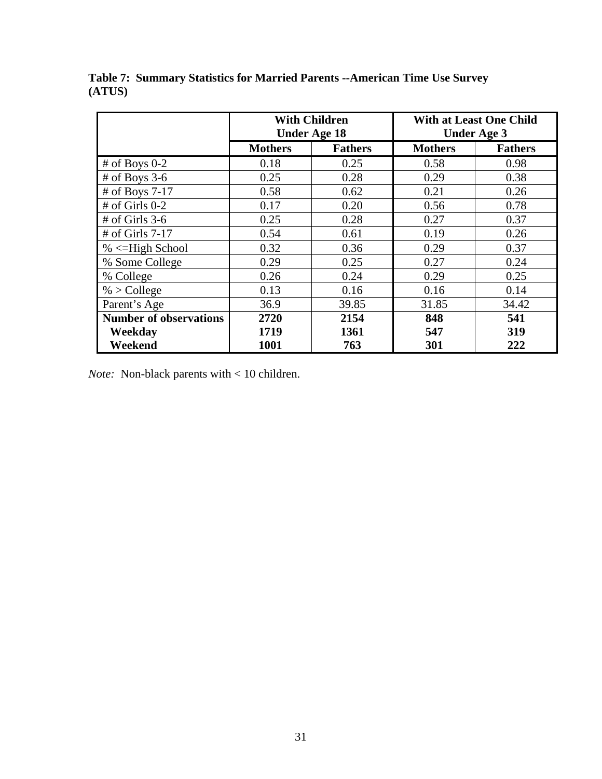|                               |                | <b>With Children</b><br><b>Under Age 18</b> |                | <b>With at Least One Child</b><br><b>Under Age 3</b> |  |  |
|-------------------------------|----------------|---------------------------------------------|----------------|------------------------------------------------------|--|--|
|                               | <b>Mothers</b> | <b>Fathers</b>                              | <b>Mothers</b> | <b>Fathers</b>                                       |  |  |
| $#$ of Boys 0-2               | 0.18           | 0.25                                        | 0.58           | 0.98                                                 |  |  |
| $#$ of Boys 3-6               | 0.25           | 0.28                                        | 0.29           | 0.38                                                 |  |  |
| # of Boys 7-17                | 0.58           | 0.62                                        | 0.21           | 0.26                                                 |  |  |
| $#$ of Girls 0-2              | 0.17           | 0.20                                        | 0.56           | 0.78                                                 |  |  |
| $#$ of Girls 3-6              | 0.25           | 0.28                                        | 0.27           | 0.37                                                 |  |  |
| $#$ of Girls 7-17             | 0.54           | 0.61                                        | 0.19           | 0.26                                                 |  |  |
| $% \leq$ -High School         | 0.32           | 0.36                                        | 0.29           | 0.37                                                 |  |  |
| % Some College                | 0.29           | 0.25                                        | 0.27           | 0.24                                                 |  |  |
| % College                     | 0.26           | 0.24                                        | 0.29           | 0.25                                                 |  |  |
| $%$ > College                 | 0.13           | 0.16                                        | 0.16           | 0.14                                                 |  |  |
| Parent's Age                  | 36.9           | 39.85                                       | 31.85          | 34.42                                                |  |  |
| <b>Number of observations</b> | 2720           | 2154                                        | 848            | 541                                                  |  |  |
| Weekday                       | 1719           | 1361                                        | 547            | 319                                                  |  |  |
| Weekend                       | 1001           | 763                                         | 301            | 222                                                  |  |  |

**Table 7: Summary Statistics for Married Parents --American Time Use Survey (ATUS)** 

*Note:* Non-black parents with < 10 children.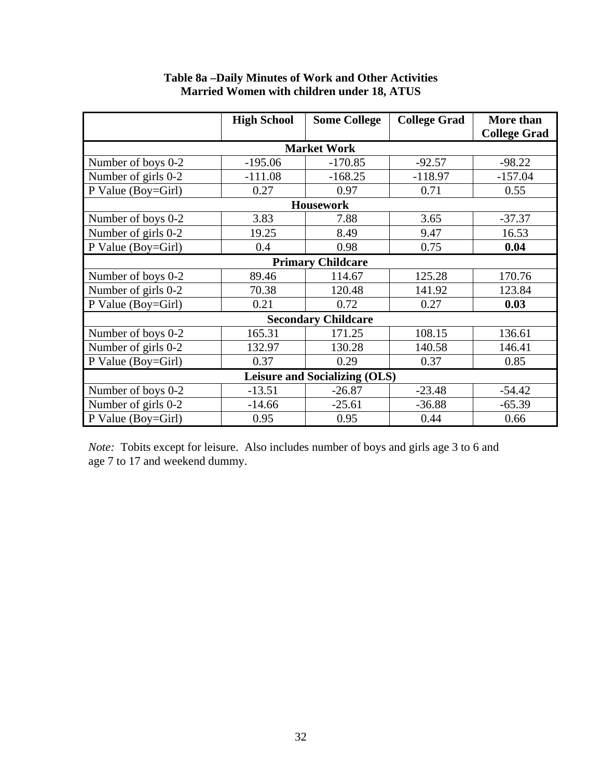|                                      | <b>High School</b> | <b>Some College</b>        | <b>College Grad</b> | <b>More than</b>    |  |  |  |
|--------------------------------------|--------------------|----------------------------|---------------------|---------------------|--|--|--|
|                                      |                    |                            |                     | <b>College Grad</b> |  |  |  |
|                                      |                    | <b>Market Work</b>         |                     |                     |  |  |  |
| Number of boys 0-2                   | $-195.06$          | $-170.85$                  | $-92.57$            | $-98.22$            |  |  |  |
| Number of girls 0-2                  | $-111.08$          | $-168.25$                  | $-118.97$           | $-157.04$           |  |  |  |
| P Value (Boy=Girl)                   | 0.27               | 0.97                       | 0.71                | 0.55                |  |  |  |
|                                      |                    | <b>Housework</b>           |                     |                     |  |  |  |
| Number of boys 0-2                   | 3.83               | 7.88                       | 3.65                | $-37.37$            |  |  |  |
| Number of girls 0-2                  | 19.25              | 8.49                       | 9.47                | 16.53               |  |  |  |
| P Value (Boy=Girl)                   | 0.4                | 0.98                       | 0.75                | 0.04                |  |  |  |
|                                      |                    | <b>Primary Childcare</b>   |                     |                     |  |  |  |
| Number of boys 0-2                   | 89.46              | 114.67                     | 125.28              | 170.76              |  |  |  |
| Number of girls 0-2                  | 70.38              | 120.48                     | 141.92              | 123.84              |  |  |  |
| P Value (Boy=Girl)                   | 0.21               | 0.72                       | 0.27                | 0.03                |  |  |  |
|                                      |                    | <b>Secondary Childcare</b> |                     |                     |  |  |  |
| Number of boys 0-2                   | 165.31             | 171.25                     | 108.15              | 136.61              |  |  |  |
| Number of girls 0-2                  | 132.97             | 130.28                     | 140.58              | 146.41              |  |  |  |
| P Value (Boy=Girl)                   | 0.37               | 0.29                       | 0.37                | 0.85                |  |  |  |
| <b>Leisure and Socializing (OLS)</b> |                    |                            |                     |                     |  |  |  |
| Number of boys 0-2                   | $-13.51$           | $-26.87$                   | $-23.48$            | $-54.42$            |  |  |  |
| Number of girls 0-2                  | $-14.66$           | $-25.61$                   | $-36.88$            | $-65.39$            |  |  |  |
| P Value (Boy=Girl)                   | 0.95               | 0.95                       | 0.44                | 0.66                |  |  |  |

#### **Table 8a –Daily Minutes of Work and Other Activities Married Women with children under 18, ATUS**

*Note:* Tobits except for leisure. Also includes number of boys and girls age 3 to 6 and age 7 to 17 and weekend dummy.